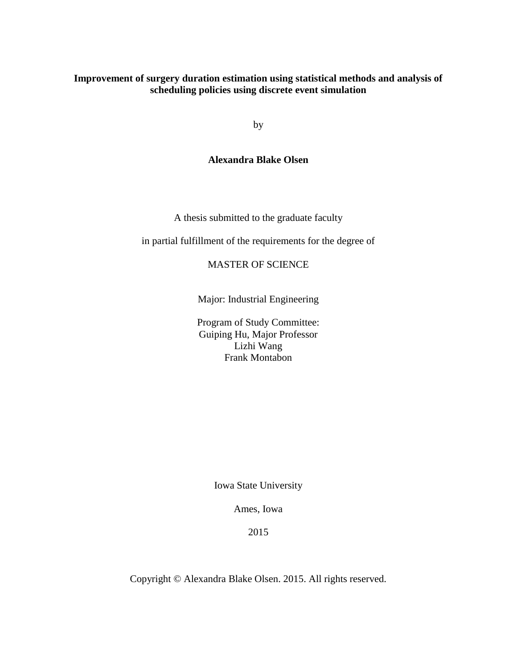## **Improvement of surgery duration estimation using statistical methods and analysis of scheduling policies using discrete event simulation**

by

## **Alexandra Blake Olsen**

A thesis submitted to the graduate faculty

in partial fulfillment of the requirements for the degree of

### MASTER OF SCIENCE

Major: Industrial Engineering

Program of Study Committee: Guiping Hu, Major Professor Lizhi Wang Frank Montabon

Iowa State University

Ames, Iowa

2015

Copyright © Alexandra Blake Olsen. 2015. All rights reserved.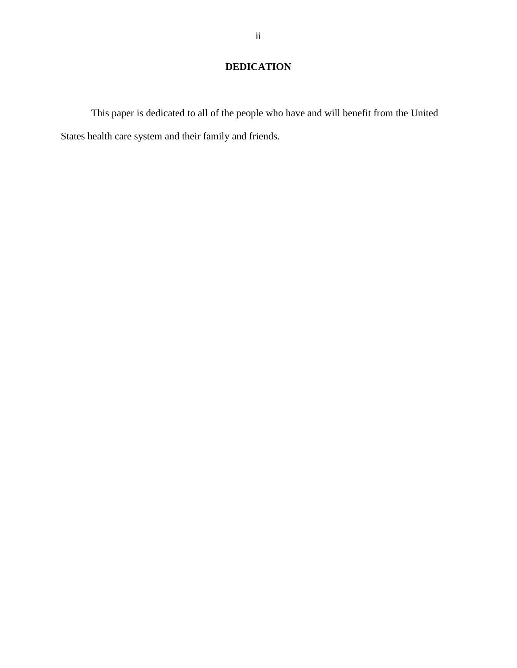# **DEDICATION**

This paper is dedicated to all of the people who have and will benefit from the United States health care system and their family and friends.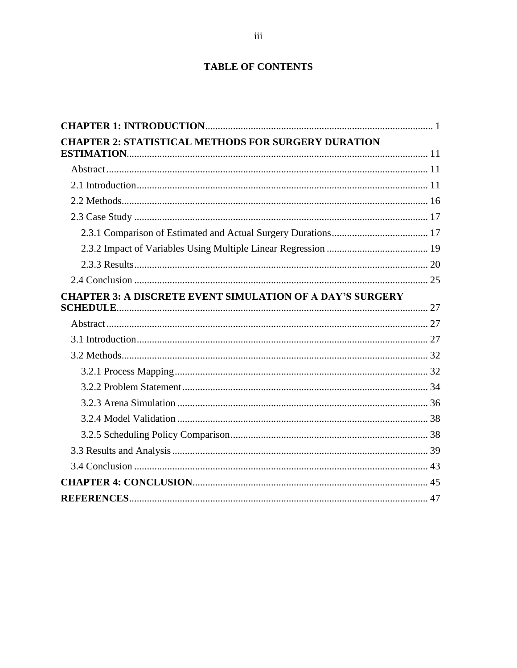## **TABLE OF CONTENTS**

| <b>CHAPTER 2: STATISTICAL METHODS FOR SURGERY DURATION</b>       |  |
|------------------------------------------------------------------|--|
|                                                                  |  |
|                                                                  |  |
|                                                                  |  |
|                                                                  |  |
|                                                                  |  |
|                                                                  |  |
|                                                                  |  |
|                                                                  |  |
|                                                                  |  |
| <b>CHAPTER 3: A DISCRETE EVENT SIMULATION OF A DAY'S SURGERY</b> |  |
|                                                                  |  |
|                                                                  |  |
|                                                                  |  |
|                                                                  |  |
|                                                                  |  |
|                                                                  |  |
|                                                                  |  |
|                                                                  |  |
|                                                                  |  |
|                                                                  |  |
|                                                                  |  |
|                                                                  |  |
|                                                                  |  |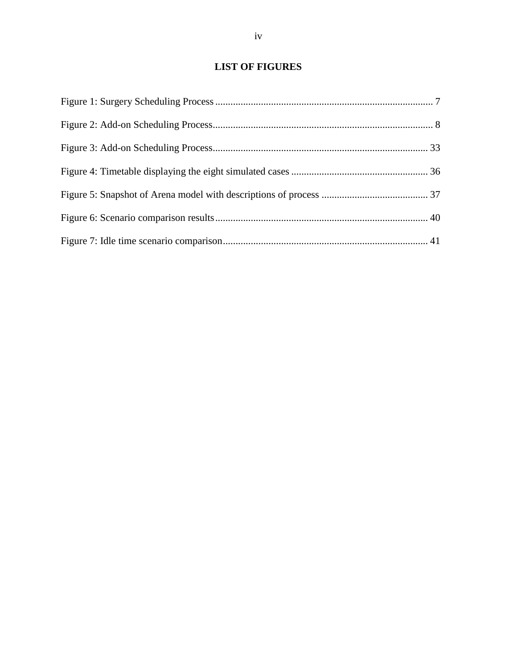## **LIST OF FIGURES**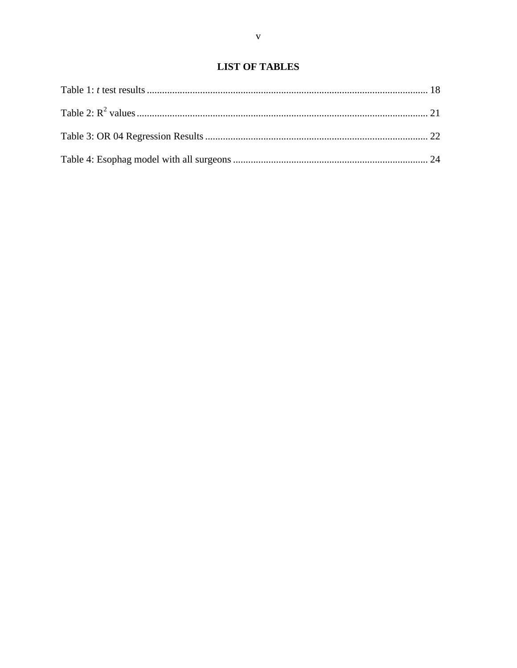## **LIST OF TABLES**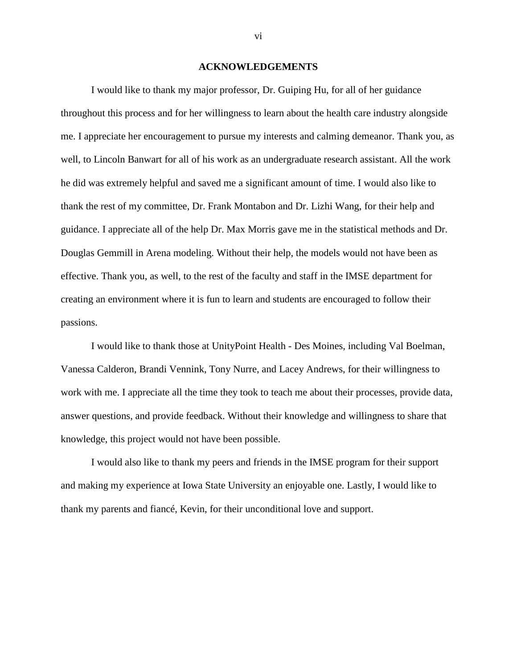#### **ACKNOWLEDGEMENTS**

I would like to thank my major professor, Dr. Guiping Hu, for all of her guidance throughout this process and for her willingness to learn about the health care industry alongside me. I appreciate her encouragement to pursue my interests and calming demeanor. Thank you, as well, to Lincoln Banwart for all of his work as an undergraduate research assistant. All the work he did was extremely helpful and saved me a significant amount of time. I would also like to thank the rest of my committee, Dr. Frank Montabon and Dr. Lizhi Wang, for their help and guidance. I appreciate all of the help Dr. Max Morris gave me in the statistical methods and Dr. Douglas Gemmill in Arena modeling. Without their help, the models would not have been as effective. Thank you, as well, to the rest of the faculty and staff in the IMSE department for creating an environment where it is fun to learn and students are encouraged to follow their passions.

I would like to thank those at UnityPoint Health - Des Moines, including Val Boelman, Vanessa Calderon, Brandi Vennink, Tony Nurre, and Lacey Andrews, for their willingness to work with me. I appreciate all the time they took to teach me about their processes, provide data, answer questions, and provide feedback. Without their knowledge and willingness to share that knowledge, this project would not have been possible.

I would also like to thank my peers and friends in the IMSE program for their support and making my experience at Iowa State University an enjoyable one. Lastly, I would like to thank my parents and fiancé, Kevin, for their unconditional love and support.

vi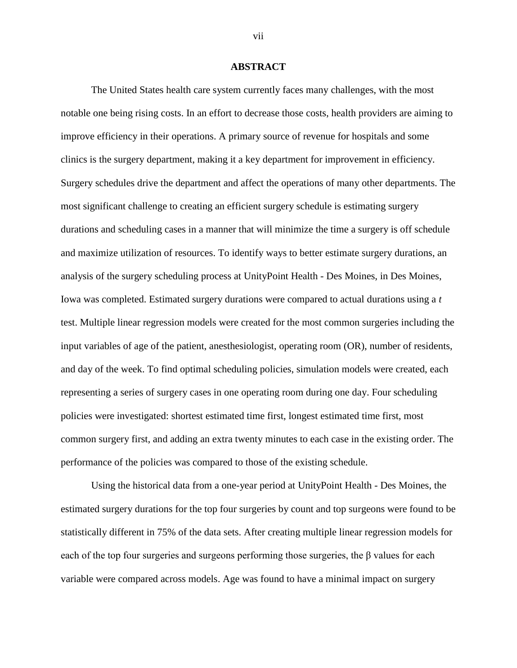#### **ABSTRACT**

The United States health care system currently faces many challenges, with the most notable one being rising costs. In an effort to decrease those costs, health providers are aiming to improve efficiency in their operations. A primary source of revenue for hospitals and some clinics is the surgery department, making it a key department for improvement in efficiency. Surgery schedules drive the department and affect the operations of many other departments. The most significant challenge to creating an efficient surgery schedule is estimating surgery durations and scheduling cases in a manner that will minimize the time a surgery is off schedule and maximize utilization of resources. To identify ways to better estimate surgery durations, an analysis of the surgery scheduling process at UnityPoint Health - Des Moines, in Des Moines, Iowa was completed. Estimated surgery durations were compared to actual durations using a *t*  test. Multiple linear regression models were created for the most common surgeries including the input variables of age of the patient, anesthesiologist, operating room (OR), number of residents, and day of the week. To find optimal scheduling policies, simulation models were created, each representing a series of surgery cases in one operating room during one day. Four scheduling policies were investigated: shortest estimated time first, longest estimated time first, most common surgery first, and adding an extra twenty minutes to each case in the existing order. The performance of the policies was compared to those of the existing schedule.

Using the historical data from a one-year period at UnityPoint Health - Des Moines, the estimated surgery durations for the top four surgeries by count and top surgeons were found to be statistically different in 75% of the data sets. After creating multiple linear regression models for each of the top four surgeries and surgeons performing those surgeries, the  $\beta$  values for each variable were compared across models. Age was found to have a minimal impact on surgery

vii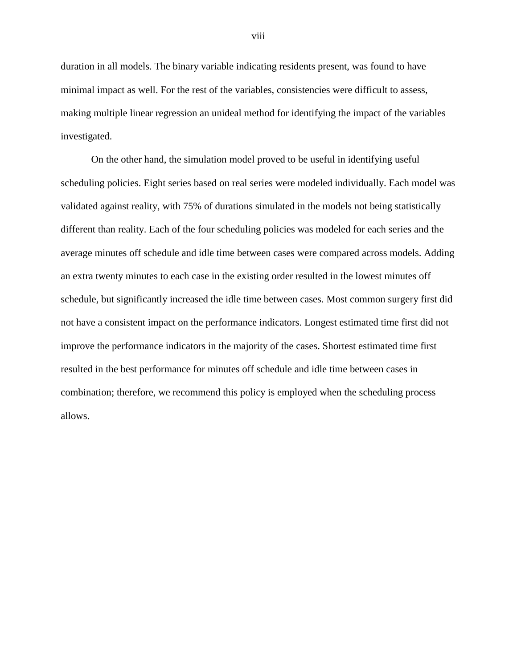duration in all models. The binary variable indicating residents present, was found to have minimal impact as well. For the rest of the variables, consistencies were difficult to assess, making multiple linear regression an unideal method for identifying the impact of the variables investigated.

On the other hand, the simulation model proved to be useful in identifying useful scheduling policies. Eight series based on real series were modeled individually. Each model was validated against reality, with 75% of durations simulated in the models not being statistically different than reality. Each of the four scheduling policies was modeled for each series and the average minutes off schedule and idle time between cases were compared across models. Adding an extra twenty minutes to each case in the existing order resulted in the lowest minutes off schedule, but significantly increased the idle time between cases. Most common surgery first did not have a consistent impact on the performance indicators. Longest estimated time first did not improve the performance indicators in the majority of the cases. Shortest estimated time first resulted in the best performance for minutes off schedule and idle time between cases in combination; therefore, we recommend this policy is employed when the scheduling process allows.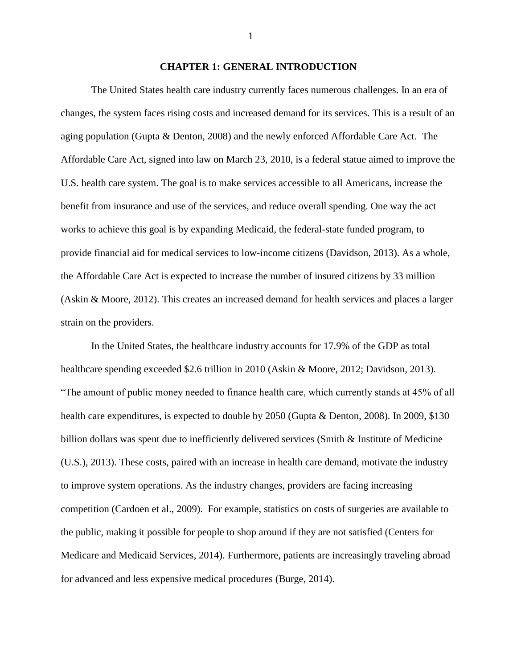#### **CHAPTER 1: GENERAL INTRODUCTION**

<span id="page-8-0"></span>The United States health care industry currently faces numerous challenges. In an era of changes, the system faces rising costs and increased demand for its services. This is a result of an aging population (Gupta & Denton, 2008) and the newly enforced Affordable Care Act. The Affordable Care Act, signed into law on March 23, 2010, is a federal statue aimed to improve the U.S. health care system. The goal is to make services accessible to all Americans, increase the benefit from insurance and use of the services, and reduce overall spending. One way the act works to achieve this goal is by expanding Medicaid, the federal-state funded program, to provide financial aid for medical services to low-income citizens (Davidson, 2013). As a whole, the Affordable Care Act is expected to increase the number of insured citizens by 33 million (Askin & Moore, 2012). This creates an increased demand for health services and places a larger strain on the providers.

In the United States, the healthcare industry accounts for 17.9% of the GDP as total healthcare spending exceeded \$2.6 trillion in 2010 (Askin & Moore, 2012; Davidson, 2013). "The amount of public money needed to finance health care, which currently stands at 45% of all health care expenditures, is expected to double by 2050 (Gupta & Denton, 2008). In 2009, \$130 billion dollars was spent due to inefficiently delivered services (Smith & Institute of Medicine (U.S.), 2013). These costs, paired with an increase in health care demand, motivate the industry to improve system operations. As the industry changes, providers are facing increasing competition (Cardoen et al., 2009). For example, statistics on costs of surgeries are available to the public, making it possible for people to shop around if they are not satisfied (Centers for Medicare and Medicaid Services, 2014). Furthermore, patients are increasingly traveling abroad for advanced and less expensive medical procedures (Burge, 2014).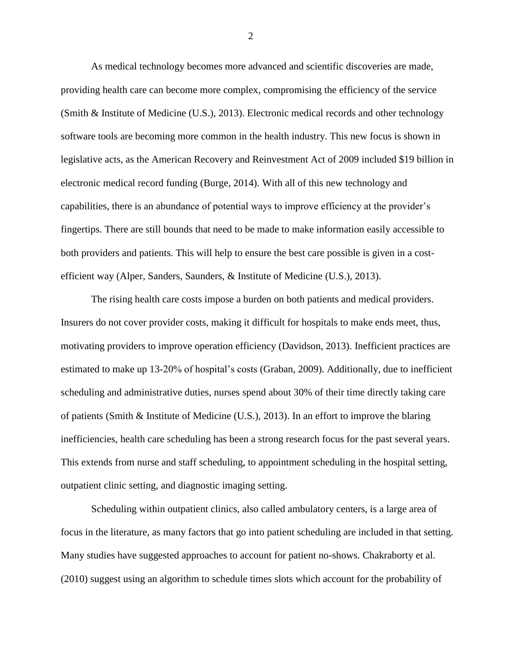As medical technology becomes more advanced and scientific discoveries are made, providing health care can become more complex, compromising the efficiency of the service (Smith & Institute of Medicine (U.S.), 2013). Electronic medical records and other technology software tools are becoming more common in the health industry. This new focus is shown in legislative acts, as the American Recovery and Reinvestment Act of 2009 included \$19 billion in electronic medical record funding (Burge, 2014). With all of this new technology and capabilities, there is an abundance of potential ways to improve efficiency at the provider's fingertips. There are still bounds that need to be made to make information easily accessible to both providers and patients. This will help to ensure the best care possible is given in a costefficient way (Alper, Sanders, Saunders, & Institute of Medicine (U.S.), 2013).

The rising health care costs impose a burden on both patients and medical providers. Insurers do not cover provider costs, making it difficult for hospitals to make ends meet, thus, motivating providers to improve operation efficiency (Davidson, 2013). Inefficient practices are estimated to make up 13-20% of hospital's costs (Graban, 2009). Additionally, due to inefficient scheduling and administrative duties, nurses spend about 30% of their time directly taking care of patients (Smith & Institute of Medicine (U.S.), 2013). In an effort to improve the blaring inefficiencies, health care scheduling has been a strong research focus for the past several years. This extends from nurse and staff scheduling, to appointment scheduling in the hospital setting, outpatient clinic setting, and diagnostic imaging setting.

Scheduling within outpatient clinics, also called ambulatory centers, is a large area of focus in the literature, as many factors that go into patient scheduling are included in that setting. Many studies have suggested approaches to account for patient no-shows. Chakraborty et al. (2010) suggest using an algorithm to schedule times slots which account for the probability of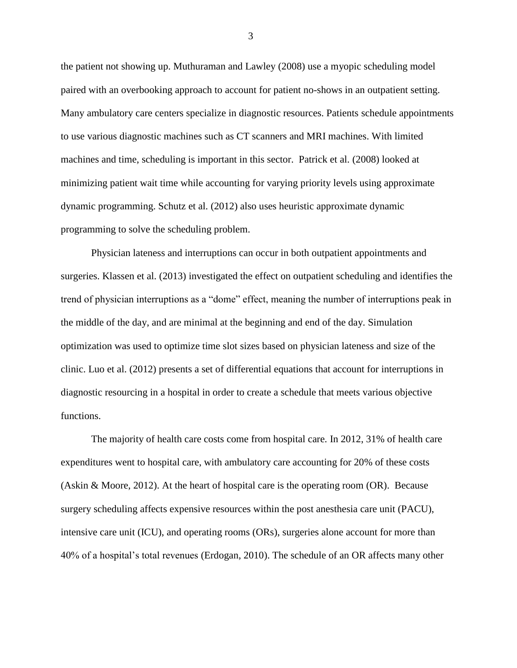the patient not showing up. Muthuraman and Lawley (2008) use a myopic scheduling model paired with an overbooking approach to account for patient no-shows in an outpatient setting. Many ambulatory care centers specialize in diagnostic resources. Patients schedule appointments to use various diagnostic machines such as CT scanners and MRI machines. With limited machines and time, scheduling is important in this sector. Patrick et al. (2008) looked at minimizing patient wait time while accounting for varying priority levels using approximate dynamic programming. Schutz et al. (2012) also uses heuristic approximate dynamic programming to solve the scheduling problem.

Physician lateness and interruptions can occur in both outpatient appointments and surgeries. Klassen et al. (2013) investigated the effect on outpatient scheduling and identifies the trend of physician interruptions as a "dome" effect, meaning the number of interruptions peak in the middle of the day, and are minimal at the beginning and end of the day. Simulation optimization was used to optimize time slot sizes based on physician lateness and size of the clinic. Luo et al. (2012) presents a set of differential equations that account for interruptions in diagnostic resourcing in a hospital in order to create a schedule that meets various objective functions.

The majority of health care costs come from hospital care. In 2012, 31% of health care expenditures went to hospital care, with ambulatory care accounting for 20% of these costs (Askin & Moore, 2012). At the heart of hospital care is the operating room (OR). Because surgery scheduling affects expensive resources within the post anesthesia care unit (PACU), intensive care unit (ICU), and operating rooms (ORs), surgeries alone account for more than 40% of a hospital's total revenues (Erdogan, 2010). The schedule of an OR affects many other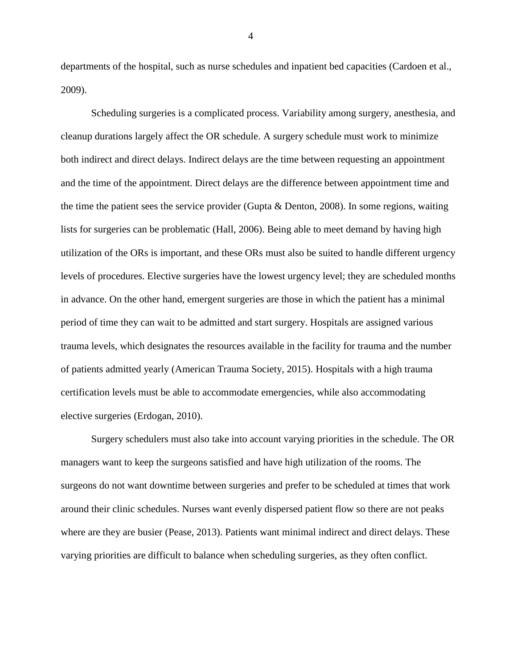departments of the hospital, such as nurse schedules and inpatient bed capacities (Cardoen et al., 2009).

Scheduling surgeries is a complicated process. Variability among surgery, anesthesia, and cleanup durations largely affect the OR schedule. A surgery schedule must work to minimize both indirect and direct delays. Indirect delays are the time between requesting an appointment and the time of the appointment. Direct delays are the difference between appointment time and the time the patient sees the service provider (Gupta & Denton, 2008). In some regions, waiting lists for surgeries can be problematic (Hall, 2006). Being able to meet demand by having high utilization of the ORs is important, and these ORs must also be suited to handle different urgency levels of procedures. Elective surgeries have the lowest urgency level; they are scheduled months in advance. On the other hand, emergent surgeries are those in which the patient has a minimal period of time they can wait to be admitted and start surgery. Hospitals are assigned various trauma levels, which designates the resources available in the facility for trauma and the number of patients admitted yearly (American Trauma Society, 2015). Hospitals with a high trauma certification levels must be able to accommodate emergencies, while also accommodating elective surgeries (Erdogan, 2010).

Surgery schedulers must also take into account varying priorities in the schedule. The OR managers want to keep the surgeons satisfied and have high utilization of the rooms. The surgeons do not want downtime between surgeries and prefer to be scheduled at times that work around their clinic schedules. Nurses want evenly dispersed patient flow so there are not peaks where are they are busier (Pease, 2013). Patients want minimal indirect and direct delays. These varying priorities are difficult to balance when scheduling surgeries, as they often conflict.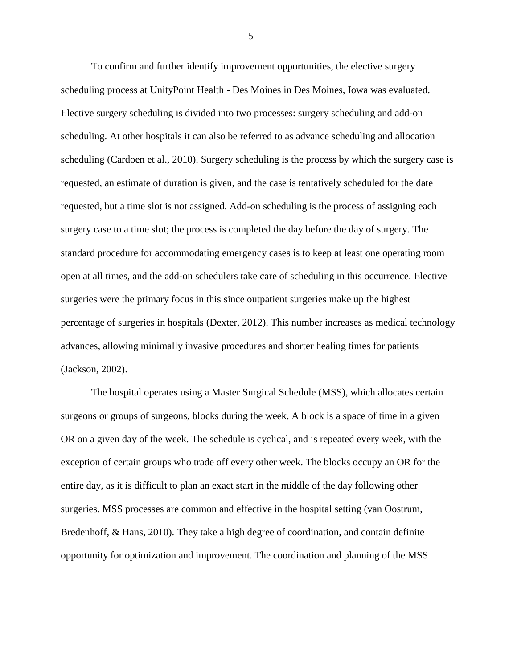To confirm and further identify improvement opportunities, the elective surgery scheduling process at UnityPoint Health - Des Moines in Des Moines, Iowa was evaluated. Elective surgery scheduling is divided into two processes: surgery scheduling and add-on scheduling. At other hospitals it can also be referred to as advance scheduling and allocation scheduling (Cardoen et al., 2010). Surgery scheduling is the process by which the surgery case is requested, an estimate of duration is given, and the case is tentatively scheduled for the date requested, but a time slot is not assigned. Add-on scheduling is the process of assigning each surgery case to a time slot; the process is completed the day before the day of surgery. The standard procedure for accommodating emergency cases is to keep at least one operating room open at all times, and the add-on schedulers take care of scheduling in this occurrence. Elective surgeries were the primary focus in this since outpatient surgeries make up the highest percentage of surgeries in hospitals (Dexter, 2012). This number increases as medical technology advances, allowing minimally invasive procedures and shorter healing times for patients (Jackson, 2002).

The hospital operates using a Master Surgical Schedule (MSS), which allocates certain surgeons or groups of surgeons, blocks during the week. A block is a space of time in a given OR on a given day of the week. The schedule is cyclical, and is repeated every week, with the exception of certain groups who trade off every other week. The blocks occupy an OR for the entire day, as it is difficult to plan an exact start in the middle of the day following other surgeries. MSS processes are common and effective in the hospital setting (van Oostrum, Bredenhoff, & Hans, 2010). They take a high degree of coordination, and contain definite opportunity for optimization and improvement. The coordination and planning of the MSS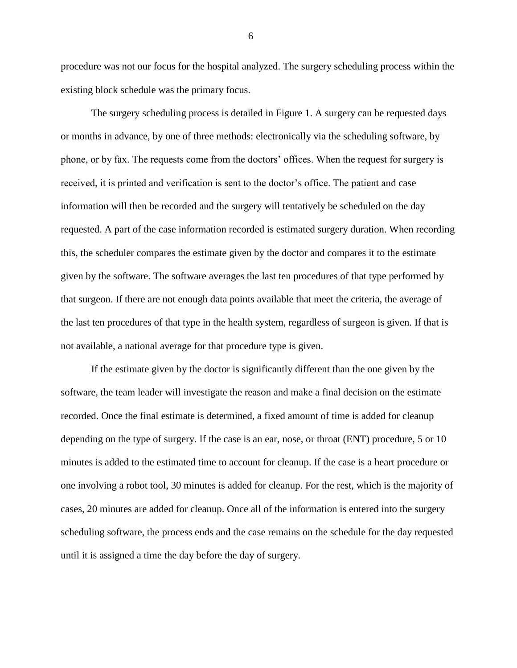procedure was not our focus for the hospital analyzed. The surgery scheduling process within the existing block schedule was the primary focus.

The surgery scheduling process is detailed in [Figure 1.](#page-14-0) A surgery can be requested days or months in advance, by one of three methods: electronically via the scheduling software, by phone, or by fax. The requests come from the doctors' offices. When the request for surgery is received, it is printed and verification is sent to the doctor's office. The patient and case information will then be recorded and the surgery will tentatively be scheduled on the day requested. A part of the case information recorded is estimated surgery duration. When recording this, the scheduler compares the estimate given by the doctor and compares it to the estimate given by the software. The software averages the last ten procedures of that type performed by that surgeon. If there are not enough data points available that meet the criteria, the average of the last ten procedures of that type in the health system, regardless of surgeon is given. If that is not available, a national average for that procedure type is given.

If the estimate given by the doctor is significantly different than the one given by the software, the team leader will investigate the reason and make a final decision on the estimate recorded. Once the final estimate is determined, a fixed amount of time is added for cleanup depending on the type of surgery. If the case is an ear, nose, or throat (ENT) procedure, 5 or 10 minutes is added to the estimated time to account for cleanup. If the case is a heart procedure or one involving a robot tool, 30 minutes is added for cleanup. For the rest, which is the majority of cases, 20 minutes are added for cleanup. Once all of the information is entered into the surgery scheduling software, the process ends and the case remains on the schedule for the day requested until it is assigned a time the day before the day of surgery.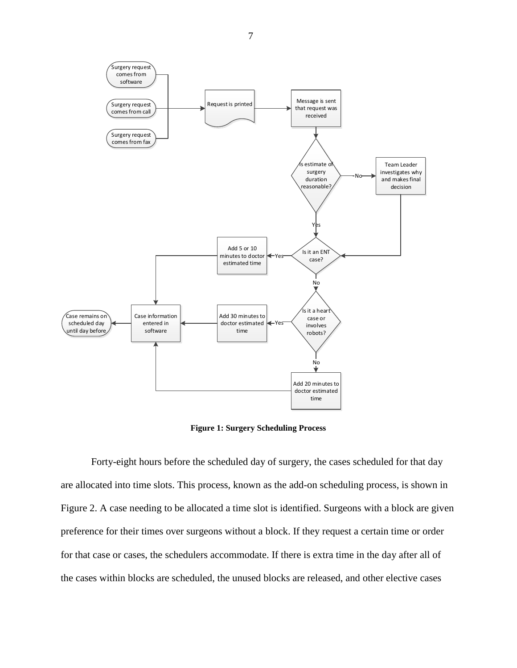

**Figure 1: Surgery Scheduling Process**

<span id="page-14-0"></span>Forty-eight hours before the scheduled day of surgery, the cases scheduled for that day are allocated into time slots. This process, known as the add-on scheduling process, is shown in [Figure 2.](#page-15-0) A case needing to be allocated a time slot is identified. Surgeons with a block are given preference for their times over surgeons without a block. If they request a certain time or order for that case or cases, the schedulers accommodate. If there is extra time in the day after all of the cases within blocks are scheduled, the unused blocks are released, and other elective cases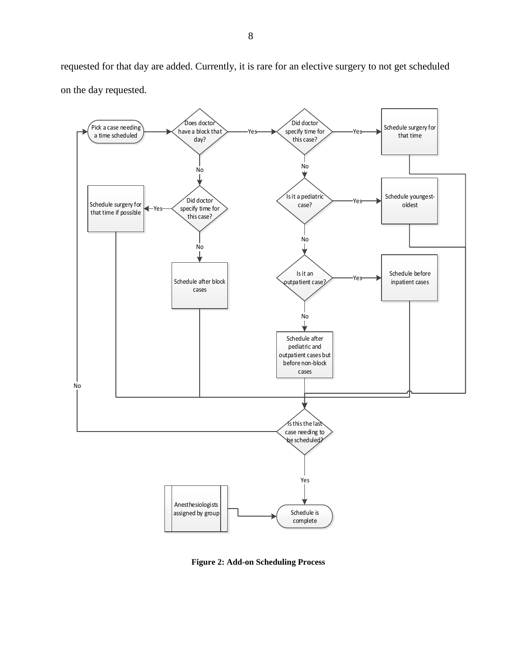requested for that day are added. Currently, it is rare for an elective surgery to not get scheduled on the day requested.



<span id="page-15-0"></span>**Figure 2: Add-on Scheduling Process**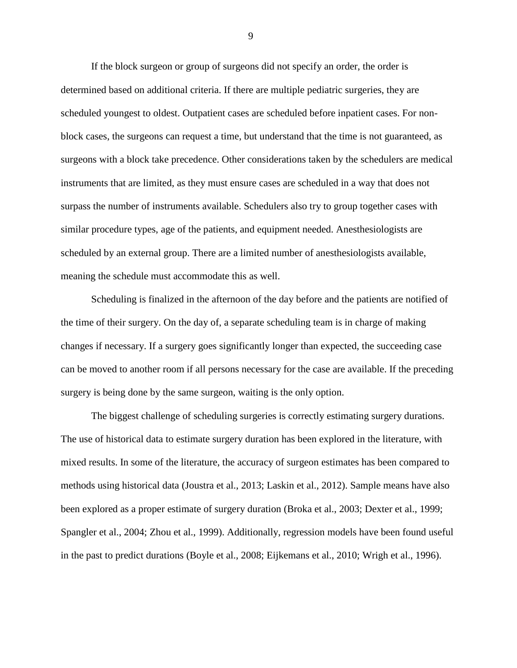If the block surgeon or group of surgeons did not specify an order, the order is determined based on additional criteria. If there are multiple pediatric surgeries, they are scheduled youngest to oldest. Outpatient cases are scheduled before inpatient cases. For nonblock cases, the surgeons can request a time, but understand that the time is not guaranteed, as surgeons with a block take precedence. Other considerations taken by the schedulers are medical instruments that are limited, as they must ensure cases are scheduled in a way that does not surpass the number of instruments available. Schedulers also try to group together cases with similar procedure types, age of the patients, and equipment needed. Anesthesiologists are scheduled by an external group. There are a limited number of anesthesiologists available, meaning the schedule must accommodate this as well.

Scheduling is finalized in the afternoon of the day before and the patients are notified of the time of their surgery. On the day of, a separate scheduling team is in charge of making changes if necessary. If a surgery goes significantly longer than expected, the succeeding case can be moved to another room if all persons necessary for the case are available. If the preceding surgery is being done by the same surgeon, waiting is the only option.

The biggest challenge of scheduling surgeries is correctly estimating surgery durations. The use of historical data to estimate surgery duration has been explored in the literature, with mixed results. In some of the literature, the accuracy of surgeon estimates has been compared to methods using historical data (Joustra et al., 2013; Laskin et al., 2012). Sample means have also been explored as a proper estimate of surgery duration (Broka et al., 2003; Dexter et al., 1999; Spangler et al., 2004; Zhou et al., 1999). Additionally, regression models have been found useful in the past to predict durations (Boyle et al., 2008; Eijkemans et al., 2010; Wrigh et al., 1996).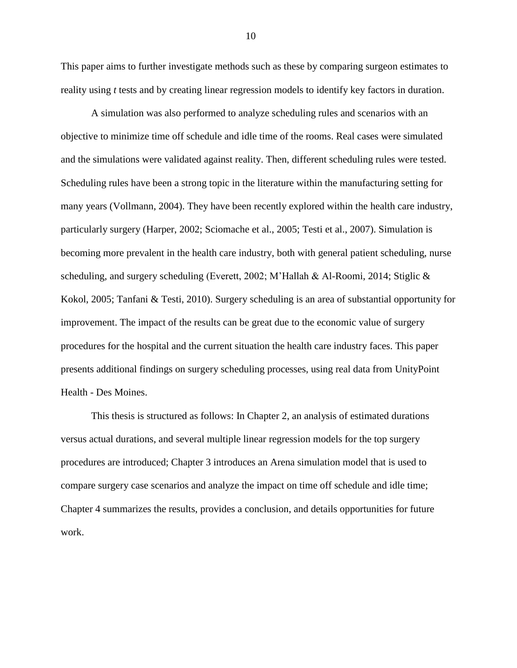This paper aims to further investigate methods such as these by comparing surgeon estimates to reality using *t* tests and by creating linear regression models to identify key factors in duration.

A simulation was also performed to analyze scheduling rules and scenarios with an objective to minimize time off schedule and idle time of the rooms. Real cases were simulated and the simulations were validated against reality. Then, different scheduling rules were tested. Scheduling rules have been a strong topic in the literature within the manufacturing setting for many years (Vollmann, 2004). They have been recently explored within the health care industry, particularly surgery (Harper, 2002; Sciomache et al., 2005; Testi et al., 2007). Simulation is becoming more prevalent in the health care industry, both with general patient scheduling, nurse scheduling, and surgery scheduling (Everett, 2002; M'Hallah & Al-Roomi, 2014; Stiglic & Kokol, 2005; Tanfani & Testi, 2010). Surgery scheduling is an area of substantial opportunity for improvement. The impact of the results can be great due to the economic value of surgery procedures for the hospital and the current situation the health care industry faces. This paper presents additional findings on surgery scheduling processes, using real data from UnityPoint Health - Des Moines.

This thesis is structured as follows: In Chapter 2, an analysis of estimated durations versus actual durations, and several multiple linear regression models for the top surgery procedures are introduced; Chapter 3 introduces an Arena simulation model that is used to compare surgery case scenarios and analyze the impact on time off schedule and idle time; Chapter 4 summarizes the results, provides a conclusion, and details opportunities for future work.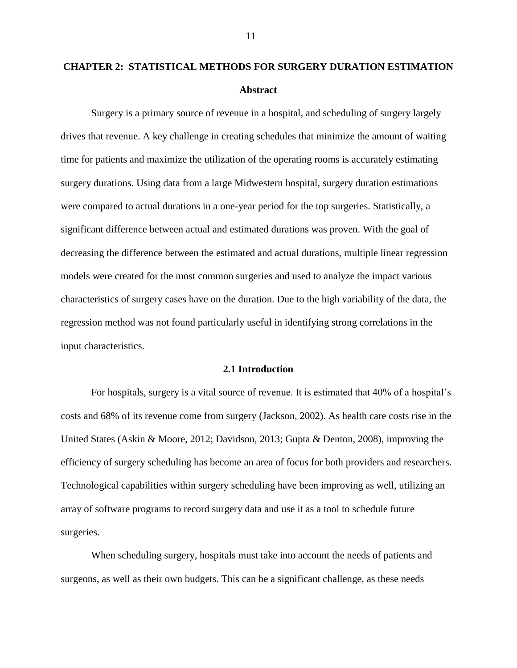# <span id="page-18-1"></span><span id="page-18-0"></span>**CHAPTER 2: STATISTICAL METHODS FOR SURGERY DURATION ESTIMATION Abstract**

Surgery is a primary source of revenue in a hospital, and scheduling of surgery largely drives that revenue. A key challenge in creating schedules that minimize the amount of waiting time for patients and maximize the utilization of the operating rooms is accurately estimating surgery durations. Using data from a large Midwestern hospital, surgery duration estimations were compared to actual durations in a one-year period for the top surgeries. Statistically, a significant difference between actual and estimated durations was proven. With the goal of decreasing the difference between the estimated and actual durations, multiple linear regression models were created for the most common surgeries and used to analyze the impact various characteristics of surgery cases have on the duration. Due to the high variability of the data, the regression method was not found particularly useful in identifying strong correlations in the input characteristics.

#### **2.1 Introduction**

<span id="page-18-2"></span>For hospitals, surgery is a vital source of revenue. It is estimated that 40% of a hospital's costs and 68% of its revenue come from surgery (Jackson, 2002). As health care costs rise in the United States (Askin & Moore, 2012; Davidson, 2013; Gupta & Denton, 2008), improving the efficiency of surgery scheduling has become an area of focus for both providers and researchers. Technological capabilities within surgery scheduling have been improving as well, utilizing an array of software programs to record surgery data and use it as a tool to schedule future surgeries.

When scheduling surgery, hospitals must take into account the needs of patients and surgeons, as well as their own budgets. This can be a significant challenge, as these needs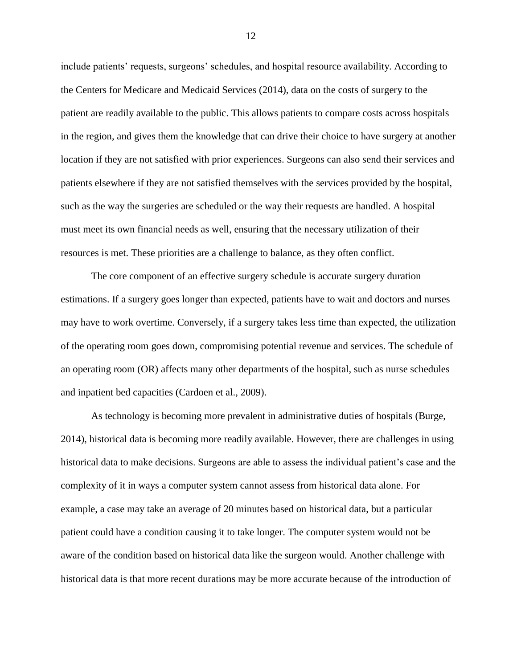include patients' requests, surgeons' schedules, and hospital resource availability. According to the Centers for Medicare and Medicaid Services (2014), data on the costs of surgery to the patient are readily available to the public. This allows patients to compare costs across hospitals in the region, and gives them the knowledge that can drive their choice to have surgery at another location if they are not satisfied with prior experiences. Surgeons can also send their services and patients elsewhere if they are not satisfied themselves with the services provided by the hospital, such as the way the surgeries are scheduled or the way their requests are handled. A hospital must meet its own financial needs as well, ensuring that the necessary utilization of their resources is met. These priorities are a challenge to balance, as they often conflict.

The core component of an effective surgery schedule is accurate surgery duration estimations. If a surgery goes longer than expected, patients have to wait and doctors and nurses may have to work overtime. Conversely, if a surgery takes less time than expected, the utilization of the operating room goes down, compromising potential revenue and services. The schedule of an operating room (OR) affects many other departments of the hospital, such as nurse schedules and inpatient bed capacities (Cardoen et al., 2009).

As technology is becoming more prevalent in administrative duties of hospitals (Burge, 2014), historical data is becoming more readily available. However, there are challenges in using historical data to make decisions. Surgeons are able to assess the individual patient's case and the complexity of it in ways a computer system cannot assess from historical data alone. For example, a case may take an average of 20 minutes based on historical data, but a particular patient could have a condition causing it to take longer. The computer system would not be aware of the condition based on historical data like the surgeon would. Another challenge with historical data is that more recent durations may be more accurate because of the introduction of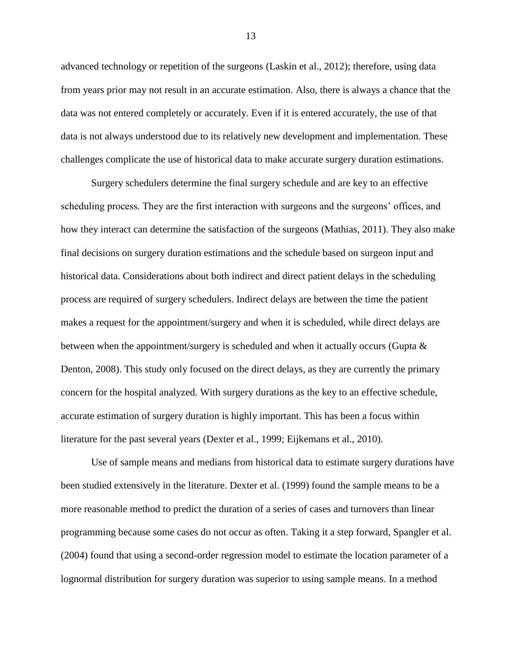advanced technology or repetition of the surgeons (Laskin et al., 2012); therefore, using data from years prior may not result in an accurate estimation. Also, there is always a chance that the data was not entered completely or accurately. Even if it is entered accurately, the use of that data is not always understood due to its relatively new development and implementation. These challenges complicate the use of historical data to make accurate surgery duration estimations.

Surgery schedulers determine the final surgery schedule and are key to an effective scheduling process. They are the first interaction with surgeons and the surgeons' offices, and how they interact can determine the satisfaction of the surgeons (Mathias, 2011). They also make final decisions on surgery duration estimations and the schedule based on surgeon input and historical data. Considerations about both indirect and direct patient delays in the scheduling process are required of surgery schedulers. Indirect delays are between the time the patient makes a request for the appointment/surgery and when it is scheduled, while direct delays are between when the appointment/surgery is scheduled and when it actually occurs (Gupta & Denton, 2008). This study only focused on the direct delays, as they are currently the primary concern for the hospital analyzed. With surgery durations as the key to an effective schedule, accurate estimation of surgery duration is highly important. This has been a focus within literature for the past several years (Dexter et al., 1999; Eijkemans et al., 2010).

Use of sample means and medians from historical data to estimate surgery durations have been studied extensively in the literature. Dexter et al. (1999) found the sample means to be a more reasonable method to predict the duration of a series of cases and turnovers than linear programming because some cases do not occur as often. Taking it a step forward, Spangler et al. (2004) found that using a second-order regression model to estimate the location parameter of a lognormal distribution for surgery duration was superior to using sample means. In a method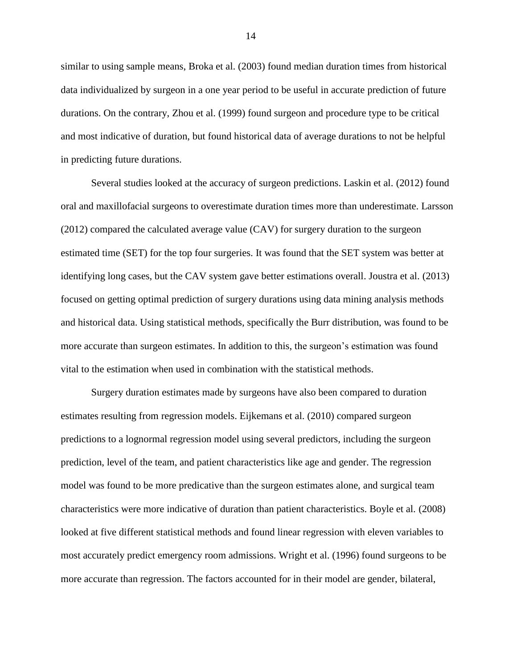similar to using sample means, Broka et al. (2003) found median duration times from historical data individualized by surgeon in a one year period to be useful in accurate prediction of future durations. On the contrary, Zhou et al. (1999) found surgeon and procedure type to be critical and most indicative of duration, but found historical data of average durations to not be helpful in predicting future durations.

Several studies looked at the accuracy of surgeon predictions. Laskin et al. (2012) found oral and maxillofacial surgeons to overestimate duration times more than underestimate. Larsson (2012) compared the calculated average value (CAV) for surgery duration to the surgeon estimated time (SET) for the top four surgeries. It was found that the SET system was better at identifying long cases, but the CAV system gave better estimations overall. Joustra et al. (2013) focused on getting optimal prediction of surgery durations using data mining analysis methods and historical data. Using statistical methods, specifically the Burr distribution, was found to be more accurate than surgeon estimates. In addition to this, the surgeon's estimation was found vital to the estimation when used in combination with the statistical methods.

Surgery duration estimates made by surgeons have also been compared to duration estimates resulting from regression models. Eijkemans et al. (2010) compared surgeon predictions to a lognormal regression model using several predictors, including the surgeon prediction, level of the team, and patient characteristics like age and gender. The regression model was found to be more predicative than the surgeon estimates alone, and surgical team characteristics were more indicative of duration than patient characteristics. Boyle et al. (2008) looked at five different statistical methods and found linear regression with eleven variables to most accurately predict emergency room admissions. Wright et al. (1996) found surgeons to be more accurate than regression. The factors accounted for in their model are gender, bilateral,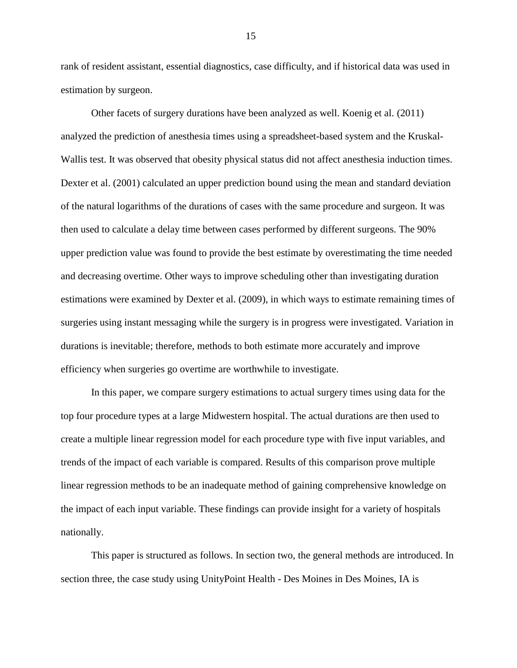rank of resident assistant, essential diagnostics, case difficulty, and if historical data was used in estimation by surgeon.

Other facets of surgery durations have been analyzed as well. Koenig et al. (2011) analyzed the prediction of anesthesia times using a spreadsheet-based system and the Kruskal-Wallis test. It was observed that obesity physical status did not affect anesthesia induction times. Dexter et al. (2001) calculated an upper prediction bound using the mean and standard deviation of the natural logarithms of the durations of cases with the same procedure and surgeon. It was then used to calculate a delay time between cases performed by different surgeons. The 90% upper prediction value was found to provide the best estimate by overestimating the time needed and decreasing overtime. Other ways to improve scheduling other than investigating duration estimations were examined by Dexter et al. (2009), in which ways to estimate remaining times of surgeries using instant messaging while the surgery is in progress were investigated. Variation in durations is inevitable; therefore, methods to both estimate more accurately and improve efficiency when surgeries go overtime are worthwhile to investigate.

In this paper, we compare surgery estimations to actual surgery times using data for the top four procedure types at a large Midwestern hospital. The actual durations are then used to create a multiple linear regression model for each procedure type with five input variables, and trends of the impact of each variable is compared. Results of this comparison prove multiple linear regression methods to be an inadequate method of gaining comprehensive knowledge on the impact of each input variable. These findings can provide insight for a variety of hospitals nationally.

This paper is structured as follows. In section two, the general methods are introduced. In section three, the case study using UnityPoint Health - Des Moines in Des Moines, IA is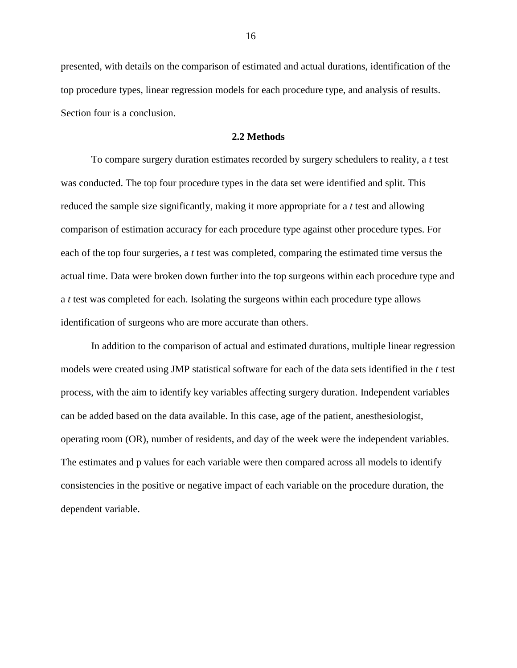presented, with details on the comparison of estimated and actual durations, identification of the top procedure types, linear regression models for each procedure type, and analysis of results. Section four is a conclusion.

#### **2.2 Methods**

<span id="page-23-0"></span>To compare surgery duration estimates recorded by surgery schedulers to reality, a *t* test was conducted. The top four procedure types in the data set were identified and split. This reduced the sample size significantly, making it more appropriate for a *t* test and allowing comparison of estimation accuracy for each procedure type against other procedure types. For each of the top four surgeries, a *t* test was completed, comparing the estimated time versus the actual time. Data were broken down further into the top surgeons within each procedure type and a *t* test was completed for each. Isolating the surgeons within each procedure type allows identification of surgeons who are more accurate than others.

In addition to the comparison of actual and estimated durations, multiple linear regression models were created using JMP statistical software for each of the data sets identified in the *t* test process, with the aim to identify key variables affecting surgery duration. Independent variables can be added based on the data available. In this case, age of the patient, anesthesiologist, operating room (OR), number of residents, and day of the week were the independent variables. The estimates and p values for each variable were then compared across all models to identify consistencies in the positive or negative impact of each variable on the procedure duration, the dependent variable.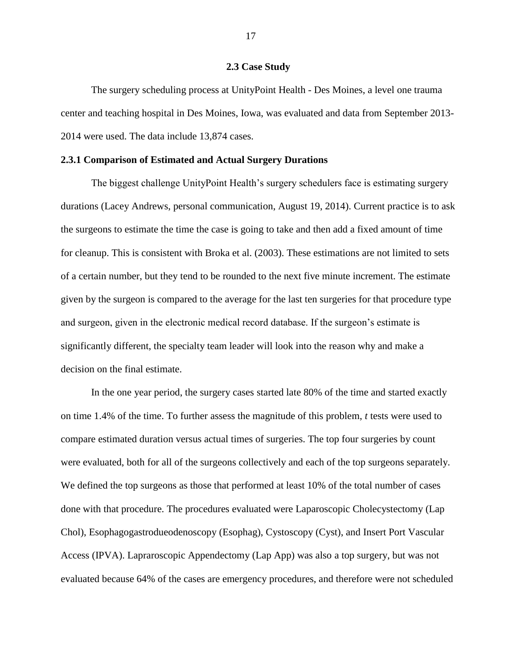#### **2.3 Case Study**

<span id="page-24-0"></span>The surgery scheduling process at UnityPoint Health - Des Moines, a level one trauma center and teaching hospital in Des Moines, Iowa, was evaluated and data from September 2013- 2014 were used. The data include 13,874 cases.

#### <span id="page-24-1"></span>**2.3.1 Comparison of Estimated and Actual Surgery Durations**

The biggest challenge UnityPoint Health's surgery schedulers face is estimating surgery durations (Lacey Andrews, personal communication, August 19, 2014). Current practice is to ask the surgeons to estimate the time the case is going to take and then add a fixed amount of time for cleanup. This is consistent with Broka et al. (2003). These estimations are not limited to sets of a certain number, but they tend to be rounded to the next five minute increment. The estimate given by the surgeon is compared to the average for the last ten surgeries for that procedure type and surgeon, given in the electronic medical record database. If the surgeon's estimate is significantly different, the specialty team leader will look into the reason why and make a decision on the final estimate.

In the one year period, the surgery cases started late 80% of the time and started exactly on time 1.4% of the time. To further assess the magnitude of this problem, *t* tests were used to compare estimated duration versus actual times of surgeries. The top four surgeries by count were evaluated, both for all of the surgeons collectively and each of the top surgeons separately. We defined the top surgeons as those that performed at least 10% of the total number of cases done with that procedure. The procedures evaluated were Laparoscopic Cholecystectomy (Lap Chol), Esophagogastrodueodenoscopy (Esophag), Cystoscopy (Cyst), and Insert Port Vascular Access (IPVA). Lapraroscopic Appendectomy (Lap App) was also a top surgery, but was not evaluated because 64% of the cases are emergency procedures, and therefore were not scheduled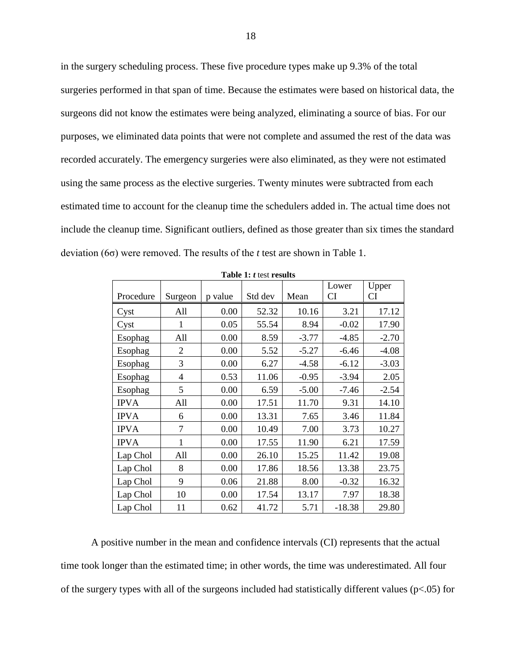in the surgery scheduling process. These five procedure types make up 9.3% of the total surgeries performed in that span of time. Because the estimates were based on historical data, the surgeons did not know the estimates were being analyzed, eliminating a source of bias. For our purposes, we eliminated data points that were not complete and assumed the rest of the data was recorded accurately. The emergency surgeries were also eliminated, as they were not estimated using the same process as the elective surgeries. Twenty minutes were subtracted from each estimated time to account for the cleanup time the schedulers added in. The actual time does not include the cleanup time. Significant outliers, defined as those greater than six times the standard deviation (6σ) were removed. The results of the *t* test are shown in [Table 1.](#page-25-0)

<span id="page-25-0"></span>

| Procedure   | Surgeon        | p value | Std dev | Mean    | Lower<br><b>CI</b> | Upper<br>CI |
|-------------|----------------|---------|---------|---------|--------------------|-------------|
| Cyst        | All            | 0.00    | 52.32   | 10.16   | 3.21               | 17.12       |
| Cyst        | 1              | 0.05    | 55.54   | 8.94    | $-0.02$            | 17.90       |
| Esophag     | All            | 0.00    | 8.59    | $-3.77$ | $-4.85$            | $-2.70$     |
| Esophag     | 2              | 0.00    | 5.52    | $-5.27$ | $-6.46$            | $-4.08$     |
| Esophag     | 3              | 0.00    | 6.27    | $-4.58$ | $-6.12$            | $-3.03$     |
| Esophag     | $\overline{4}$ | 0.53    | 11.06   | $-0.95$ | $-3.94$            | 2.05        |
| Esophag     | 5              | 0.00    | 6.59    | $-5.00$ | $-7.46$            | $-2.54$     |
| <b>IPVA</b> | All            | 0.00    | 17.51   | 11.70   | 9.31               | 14.10       |
| <b>IPVA</b> | 6              | 0.00    | 13.31   | 7.65    | 3.46               | 11.84       |
| <b>IPVA</b> | 7              | 0.00    | 10.49   | 7.00    | 3.73               | 10.27       |
| <b>IPVA</b> | 1              | 0.00    | 17.55   | 11.90   | 6.21               | 17.59       |
| Lap Chol    | All            | 0.00    | 26.10   | 15.25   | 11.42              | 19.08       |
| Lap Chol    | 8              | 0.00    | 17.86   | 18.56   | 13.38              | 23.75       |
| Lap Chol    | 9              | 0.06    | 21.88   | 8.00    | $-0.32$            | 16.32       |
| Lap Chol    | 10             | 0.00    | 17.54   | 13.17   | 7.97               | 18.38       |
| Lap Chol    | 11             | 0.62    | 41.72   | 5.71    | $-18.38$           | 29.80       |

**Table 1:** *t* test **results**

A positive number in the mean and confidence intervals (CI) represents that the actual time took longer than the estimated time; in other words, the time was underestimated. All four of the surgery types with all of the surgeons included had statistically different values (p<.05) for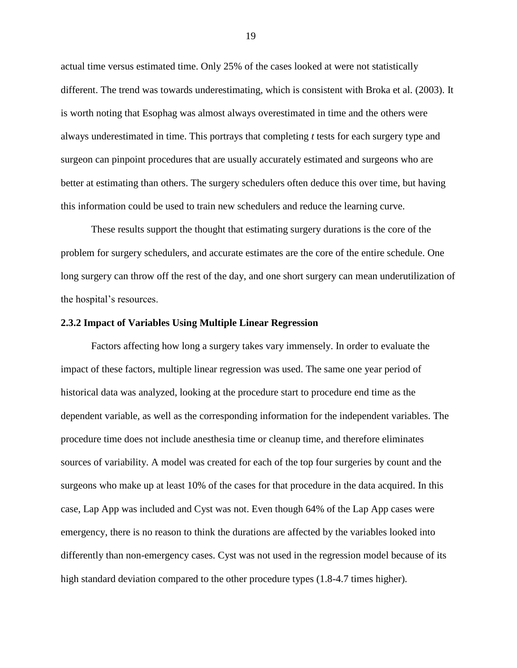actual time versus estimated time. Only 25% of the cases looked at were not statistically different. The trend was towards underestimating, which is consistent with Broka et al. (2003). It is worth noting that Esophag was almost always overestimated in time and the others were always underestimated in time. This portrays that completing *t* tests for each surgery type and surgeon can pinpoint procedures that are usually accurately estimated and surgeons who are better at estimating than others. The surgery schedulers often deduce this over time, but having this information could be used to train new schedulers and reduce the learning curve.

These results support the thought that estimating surgery durations is the core of the problem for surgery schedulers, and accurate estimates are the core of the entire schedule. One long surgery can throw off the rest of the day, and one short surgery can mean underutilization of the hospital's resources.

#### <span id="page-26-0"></span>**2.3.2 Impact of Variables Using Multiple Linear Regression**

Factors affecting how long a surgery takes vary immensely. In order to evaluate the impact of these factors, multiple linear regression was used. The same one year period of historical data was analyzed, looking at the procedure start to procedure end time as the dependent variable, as well as the corresponding information for the independent variables. The procedure time does not include anesthesia time or cleanup time, and therefore eliminates sources of variability. A model was created for each of the top four surgeries by count and the surgeons who make up at least 10% of the cases for that procedure in the data acquired. In this case, Lap App was included and Cyst was not. Even though 64% of the Lap App cases were emergency, there is no reason to think the durations are affected by the variables looked into differently than non-emergency cases. Cyst was not used in the regression model because of its high standard deviation compared to the other procedure types (1.8-4.7 times higher).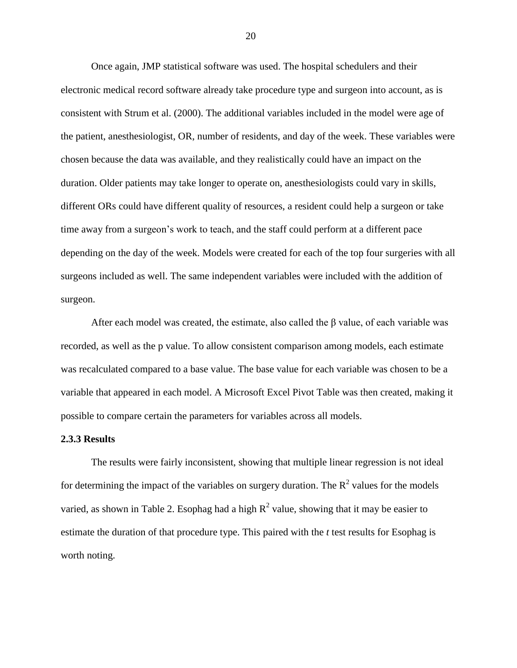Once again, JMP statistical software was used. The hospital schedulers and their electronic medical record software already take procedure type and surgeon into account, as is consistent with Strum et al. (2000). The additional variables included in the model were age of the patient, anesthesiologist, OR, number of residents, and day of the week. These variables were chosen because the data was available, and they realistically could have an impact on the duration. Older patients may take longer to operate on, anesthesiologists could vary in skills, different ORs could have different quality of resources, a resident could help a surgeon or take time away from a surgeon's work to teach, and the staff could perform at a different pace depending on the day of the week. Models were created for each of the top four surgeries with all surgeons included as well. The same independent variables were included with the addition of surgeon.

After each model was created, the estimate, also called the  $\beta$  value, of each variable was recorded, as well as the p value. To allow consistent comparison among models, each estimate was recalculated compared to a base value. The base value for each variable was chosen to be a variable that appeared in each model. A Microsoft Excel Pivot Table was then created, making it possible to compare certain the parameters for variables across all models.

#### <span id="page-27-0"></span>**2.3.3 Results**

The results were fairly inconsistent, showing that multiple linear regression is not ideal for determining the impact of the variables on surgery duration. The  $R^2$  values for the models varied, as shown in [Table 2.](#page-28-0) Esophag had a high  $R^2$  value, showing that it may be easier to estimate the duration of that procedure type. This paired with the *t* test results for Esophag is worth noting.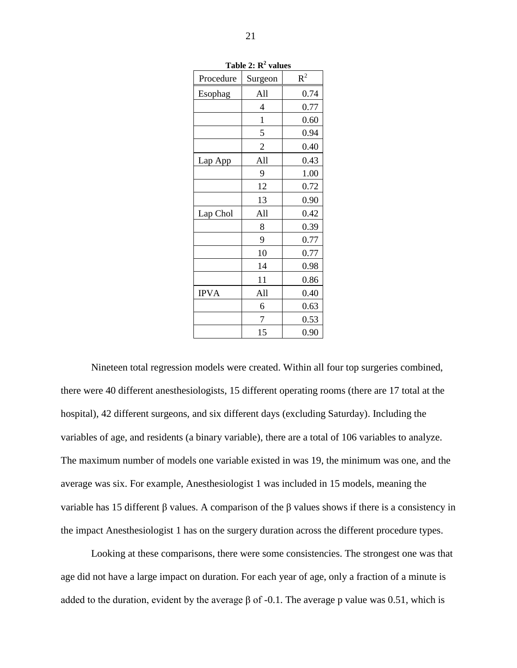<span id="page-28-0"></span>

|             | <b>Table 4. R</b> values |       |
|-------------|--------------------------|-------|
| Procedure   | Surgeon                  | $R^2$ |
| Esophag     | All                      | 0.74  |
|             | 4                        | 0.77  |
|             | $\mathbf{1}$             | 0.60  |
|             | 5                        | 0.94  |
|             | $\overline{c}$           | 0.40  |
| Lap App     | All                      | 0.43  |
|             | 9                        | 1.00  |
|             | 12                       | 0.72  |
|             | 13                       | 0.90  |
| Lap Chol    | All                      | 0.42  |
|             | 8                        | 0.39  |
|             | 9                        | 0.77  |
|             | 10                       | 0.77  |
|             | 14                       | 0.98  |
|             | 11                       | 0.86  |
| <b>IPVA</b> | All                      | 0.40  |
|             | 6                        | 0.63  |
|             | 7                        | 0.53  |
|             | 15                       | 0.90  |

**Table 2: R<sup>2</sup> values**

Nineteen total regression models were created. Within all four top surgeries combined, there were 40 different anesthesiologists, 15 different operating rooms (there are 17 total at the hospital), 42 different surgeons, and six different days (excluding Saturday). Including the variables of age, and residents (a binary variable), there are a total of 106 variables to analyze. The maximum number of models one variable existed in was 19, the minimum was one, and the average was six. For example, Anesthesiologist 1 was included in 15 models, meaning the variable has 15 different β values. A comparison of the β values shows if there is a consistency in the impact Anesthesiologist 1 has on the surgery duration across the different procedure types.

Looking at these comparisons, there were some consistencies. The strongest one was that age did not have a large impact on duration. For each year of age, only a fraction of a minute is added to the duration, evident by the average  $\beta$  of -0.1. The average p value was 0.51, which is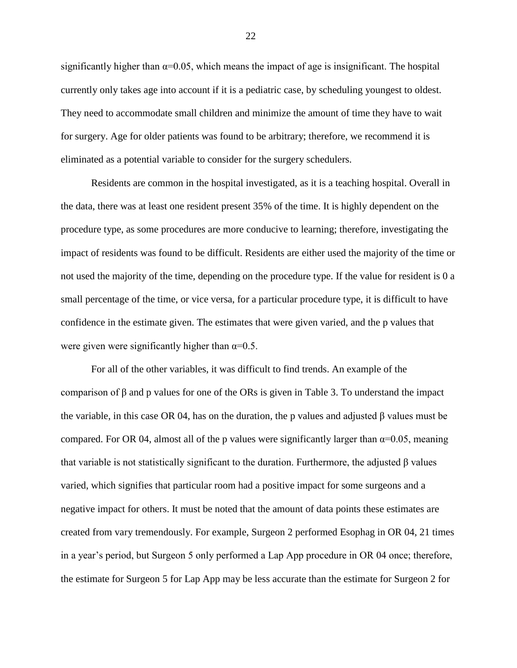significantly higher than  $\alpha=0.05$ , which means the impact of age is insignificant. The hospital currently only takes age into account if it is a pediatric case, by scheduling youngest to oldest. They need to accommodate small children and minimize the amount of time they have to wait for surgery. Age for older patients was found to be arbitrary; therefore, we recommend it is eliminated as a potential variable to consider for the surgery schedulers.

Residents are common in the hospital investigated, as it is a teaching hospital. Overall in the data, there was at least one resident present 35% of the time. It is highly dependent on the procedure type, as some procedures are more conducive to learning; therefore, investigating the impact of residents was found to be difficult. Residents are either used the majority of the time or not used the majority of the time, depending on the procedure type. If the value for resident is 0 a small percentage of the time, or vice versa, for a particular procedure type, it is difficult to have confidence in the estimate given. The estimates that were given varied, and the p values that were given were significantly higher than  $\alpha=0.5$ .

<span id="page-29-0"></span>For all of the other variables, it was difficult to find trends. An example of the comparison of β and p values for one of the ORs is given in [Table 3.](#page-30-0) To understand the impact the variable, in this case OR 04, has on the duration, the p values and adjusted β values must be compared. For OR 04, almost all of the p values were significantly larger than  $\alpha$ =0.05, meaning that variable is not statistically significant to the duration. Furthermore, the adjusted β values varied, which signifies that particular room had a positive impact for some surgeons and a negative impact for others. It must be noted that the amount of data points these estimates are created from vary tremendously. For example, Surgeon 2 performed Esophag in OR 04, 21 times in a year's period, but Surgeon 5 only performed a Lap App procedure in OR 04 once; therefore, the estimate for Surgeon 5 for Lap App may be less accurate than the estimate for Surgeon 2 for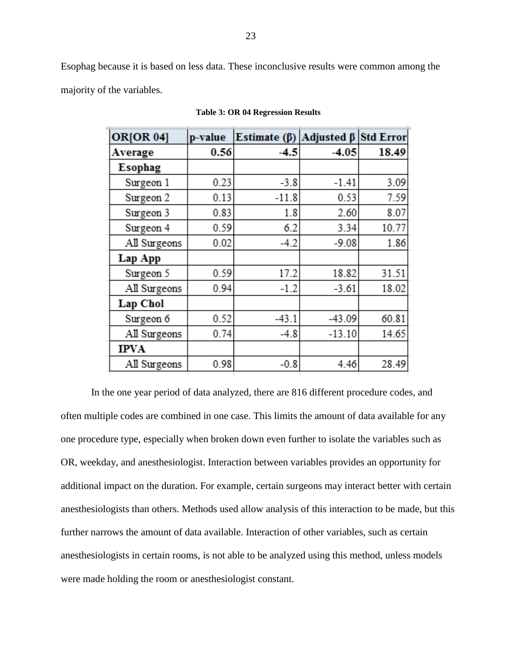<span id="page-30-0"></span>Esophag because it is based on less data. These inconclusive results were common among the majority of the variables.

| ORJOR <sub>04</sub> ] | p-value | Estimate $(\beta)$ | Adjusted $\beta$ | <b>Std Error</b> |
|-----------------------|---------|--------------------|------------------|------------------|
| Average               | 0.56    | -4.5               | $-4.05$          | 18.49            |
| <b>Esophag</b>        |         |                    |                  |                  |
| Surgeon 1             | 0.23    | $-3.8$             | $-1.41$          | 3.09             |
| Surgeon 2             | 0.13    | $-11.8$            | 0.53             | 7.59             |
| Surgeon 3             | 0.83    | 1.8                | 2.60             | 8.07             |
| Surgeon 4             | 0.59    | 6.2                | 3.34             | 10.77            |
| All Surgeons          | 0.02    | $-4.2$             | $-9.08$          | 1.86             |
| Lap App               |         |                    |                  |                  |
| Surgeon 5             | 0.59    | 17.2               | 18.82            | 31.51            |
| All Surgeons          | 0.94    | $-1.2$             | $-3.61$          | 18.02            |
| <b>Lap Chol</b>       |         |                    |                  |                  |
| Surgeon 6             | 0.52    | $-43.1$            | $-43.09$         | 60.81            |
| All Surgeons          | 0.74    | $-4.8$             | $-13.10$         | 14.65            |
| <b>IPVA</b>           |         |                    |                  |                  |
| All Surgeons          | 0.98    | $-0.8$             | 4.46             | 28.49            |

**Table 3: OR 04 Regression Results**

In the one year period of data analyzed, there are 816 different procedure codes, and often multiple codes are combined in one case. This limits the amount of data available for any one procedure type, especially when broken down even further to isolate the variables such as OR, weekday, and anesthesiologist. Interaction between variables provides an opportunity for additional impact on the duration. For example, certain surgeons may interact better with certain anesthesiologists than others. Methods used allow analysis of this interaction to be made, but this further narrows the amount of data available. Interaction of other variables, such as certain anesthesiologists in certain rooms, is not able to be analyzed using this method, unless models were made holding the room or anesthesiologist constant.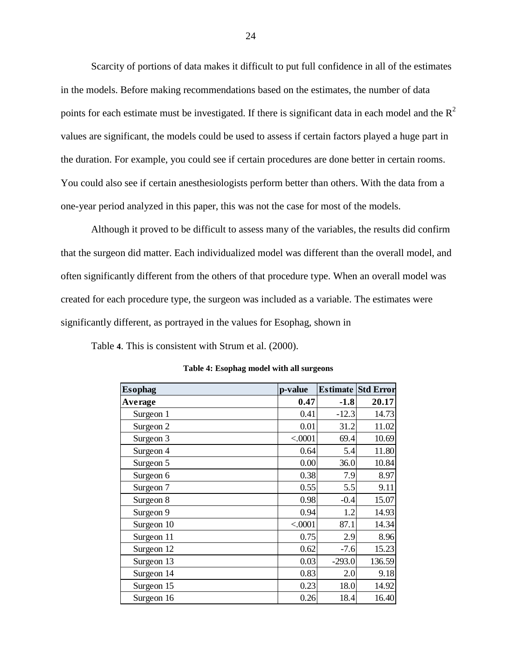Scarcity of portions of data makes it difficult to put full confidence in all of the estimates in the models. Before making recommendations based on the estimates, the number of data points for each estimate must be investigated. If there is significant data in each model and the  $R^2$ values are significant, the models could be used to assess if certain factors played a huge part in the duration. For example, you could see if certain procedures are done better in certain rooms. You could also see if certain anesthesiologists perform better than others. With the data from a one-year period analyzed in this paper, this was not the case for most of the models.

Although it proved to be difficult to assess many of the variables, the results did confirm that the surgeon did matter. Each individualized model was different than the overall model, and often significantly different from the others of that procedure type. When an overall model was created for each procedure type, the surgeon was included as a variable. The estimates were significantly different, as portrayed in the values for Esophag, shown in

[Table](#page-31-0) **4**. This is consistent with Strum et al. (2000).

| <b>Esophag</b> | p-value |          | <b>Estimate Std Error</b> |
|----------------|---------|----------|---------------------------|
| <b>Average</b> | 0.47    | $-1.8$   | 20.17                     |
| Surgeon 1      | 0.41    | $-12.3$  | 14.73                     |
| Surgeon 2      | 0.01    | 31.2     | 11.02                     |
| Surgeon 3      | < .0001 | 69.4     | 10.69                     |
| Surgeon 4      | 0.64    | 5.4      | 11.80                     |
| Surgeon 5      | 0.00    | 36.0     | 10.84                     |
| Surgeon 6      | 0.38    | 7.9      | 8.97                      |
| Surgeon 7      | 0.55    | 5.5      | 9.11                      |
| Surgeon 8      | 0.98    | $-0.4$   | 15.07                     |
| Surgeon 9      | 0.94    | 1.2      | 14.93                     |
| Surgeon 10     | < .0001 | 87.1     | 14.34                     |
| Surgeon 11     | 0.75    | 2.9      | 8.96                      |
| Surgeon 12     | 0.62    | $-7.6$   | 15.23                     |
| Surgeon 13     | 0.03    | $-293.0$ | 136.59                    |
| Surgeon 14     | 0.83    | 2.0      | 9.18                      |
| Surgeon 15     | 0.23    | 18.0     | 14.92                     |
| Surgeon 16     | 0.26    | 18.4     | 16.40                     |

<span id="page-31-0"></span>**Table 4: Esophag model with all surgeons**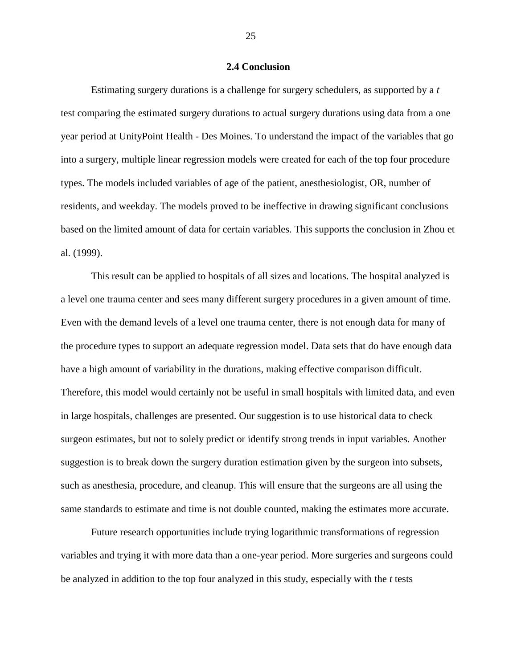#### **2.4 Conclusion**

<span id="page-32-0"></span>Estimating surgery durations is a challenge for surgery schedulers, as supported by a *t*  test comparing the estimated surgery durations to actual surgery durations using data from a one year period at UnityPoint Health - Des Moines. To understand the impact of the variables that go into a surgery, multiple linear regression models were created for each of the top four procedure types. The models included variables of age of the patient, anesthesiologist, OR, number of residents, and weekday. The models proved to be ineffective in drawing significant conclusions based on the limited amount of data for certain variables. This supports the conclusion in Zhou et al. (1999).

This result can be applied to hospitals of all sizes and locations. The hospital analyzed is a level one trauma center and sees many different surgery procedures in a given amount of time. Even with the demand levels of a level one trauma center, there is not enough data for many of the procedure types to support an adequate regression model. Data sets that do have enough data have a high amount of variability in the durations, making effective comparison difficult. Therefore, this model would certainly not be useful in small hospitals with limited data, and even in large hospitals, challenges are presented. Our suggestion is to use historical data to check surgeon estimates, but not to solely predict or identify strong trends in input variables. Another suggestion is to break down the surgery duration estimation given by the surgeon into subsets, such as anesthesia, procedure, and cleanup. This will ensure that the surgeons are all using the same standards to estimate and time is not double counted, making the estimates more accurate.

Future research opportunities include trying logarithmic transformations of regression variables and trying it with more data than a one-year period. More surgeries and surgeons could be analyzed in addition to the top four analyzed in this study, especially with the *t* tests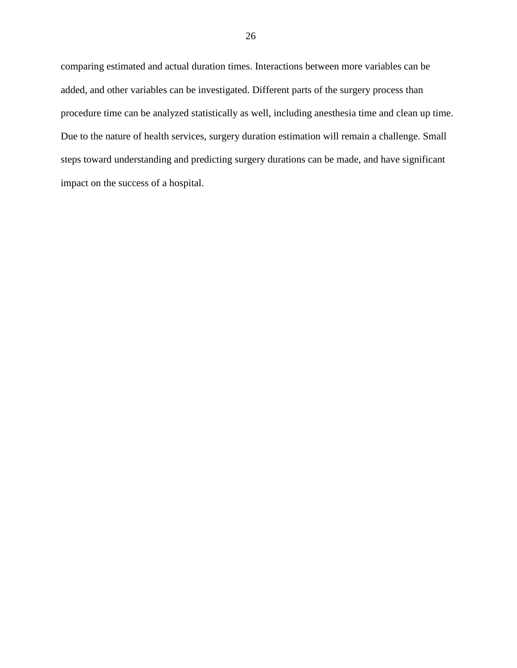comparing estimated and actual duration times. Interactions between more variables can be added, and other variables can be investigated. Different parts of the surgery process than procedure time can be analyzed statistically as well, including anesthesia time and clean up time. Due to the nature of health services, surgery duration estimation will remain a challenge. Small steps toward understanding and predicting surgery durations can be made, and have significant impact on the success of a hospital.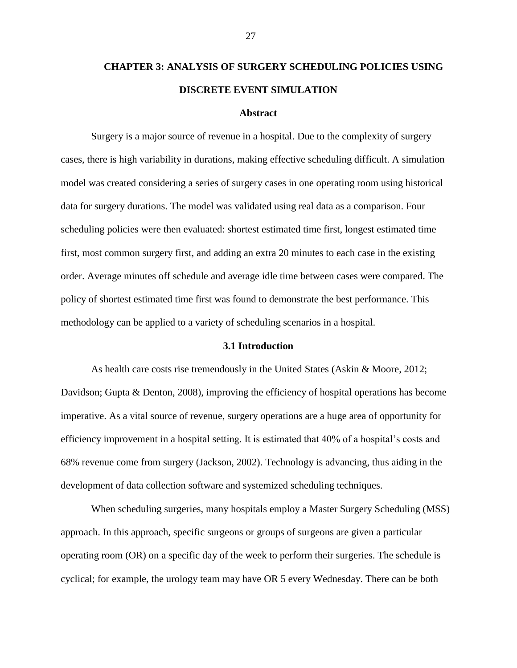# <span id="page-34-0"></span>**CHAPTER 3: ANALYSIS OF SURGERY SCHEDULING POLICIES USING DISCRETE EVENT SIMULATION**

#### **Abstract**

<span id="page-34-1"></span>Surgery is a major source of revenue in a hospital. Due to the complexity of surgery cases, there is high variability in durations, making effective scheduling difficult. A simulation model was created considering a series of surgery cases in one operating room using historical data for surgery durations. The model was validated using real data as a comparison. Four scheduling policies were then evaluated: shortest estimated time first, longest estimated time first, most common surgery first, and adding an extra 20 minutes to each case in the existing order. Average minutes off schedule and average idle time between cases were compared. The policy of shortest estimated time first was found to demonstrate the best performance. This methodology can be applied to a variety of scheduling scenarios in a hospital.

#### **3.1 Introduction**

<span id="page-34-2"></span>As health care costs rise tremendously in the United States (Askin & Moore, 2012; Davidson; Gupta & Denton, 2008), improving the efficiency of hospital operations has become imperative. As a vital source of revenue, surgery operations are a huge area of opportunity for efficiency improvement in a hospital setting. It is estimated that 40% of a hospital's costs and 68% revenue come from surgery (Jackson, 2002). Technology is advancing, thus aiding in the development of data collection software and systemized scheduling techniques.

When scheduling surgeries, many hospitals employ a Master Surgery Scheduling (MSS) approach. In this approach, specific surgeons or groups of surgeons are given a particular operating room (OR) on a specific day of the week to perform their surgeries. The schedule is cyclical; for example, the urology team may have OR 5 every Wednesday. There can be both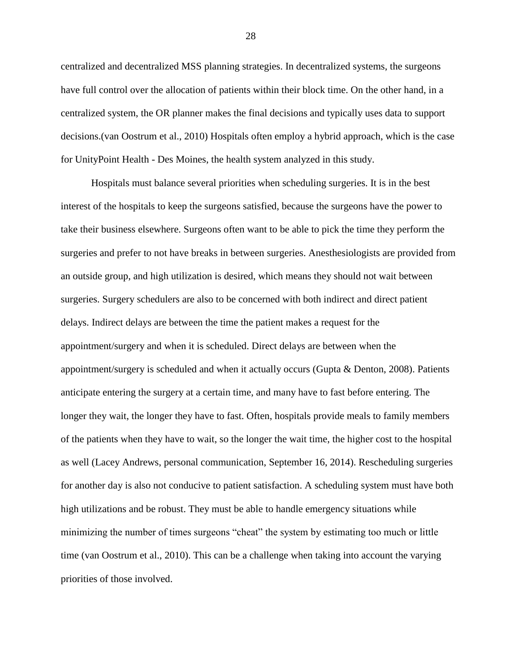centralized and decentralized MSS planning strategies. In decentralized systems, the surgeons have full control over the allocation of patients within their block time. On the other hand, in a centralized system, the OR planner makes the final decisions and typically uses data to support decisions.(van Oostrum et al., 2010) Hospitals often employ a hybrid approach, which is the case for UnityPoint Health - Des Moines, the health system analyzed in this study.

Hospitals must balance several priorities when scheduling surgeries. It is in the best interest of the hospitals to keep the surgeons satisfied, because the surgeons have the power to take their business elsewhere. Surgeons often want to be able to pick the time they perform the surgeries and prefer to not have breaks in between surgeries. Anesthesiologists are provided from an outside group, and high utilization is desired, which means they should not wait between surgeries. Surgery schedulers are also to be concerned with both indirect and direct patient delays. Indirect delays are between the time the patient makes a request for the appointment/surgery and when it is scheduled. Direct delays are between when the appointment/surgery is scheduled and when it actually occurs (Gupta & Denton, 2008). Patients anticipate entering the surgery at a certain time, and many have to fast before entering. The longer they wait, the longer they have to fast. Often, hospitals provide meals to family members of the patients when they have to wait, so the longer the wait time, the higher cost to the hospital as well (Lacey Andrews, personal communication, September 16, 2014). Rescheduling surgeries for another day is also not conducive to patient satisfaction. A scheduling system must have both high utilizations and be robust. They must be able to handle emergency situations while minimizing the number of times surgeons "cheat" the system by estimating too much or little time (van Oostrum et al., 2010). This can be a challenge when taking into account the varying priorities of those involved.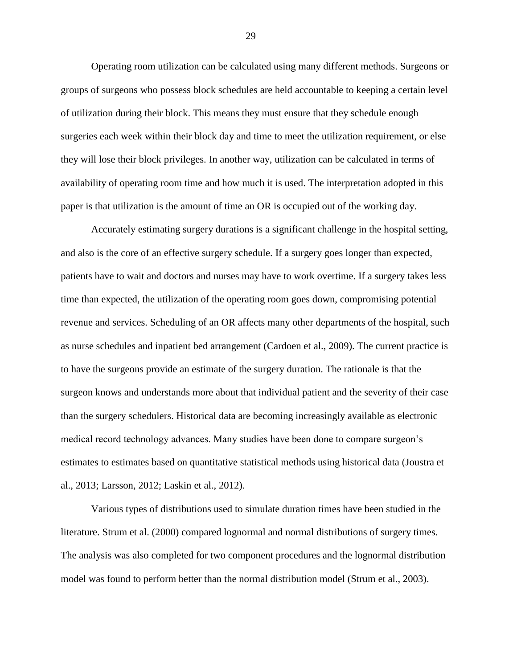Operating room utilization can be calculated using many different methods. Surgeons or groups of surgeons who possess block schedules are held accountable to keeping a certain level of utilization during their block. This means they must ensure that they schedule enough surgeries each week within their block day and time to meet the utilization requirement, or else they will lose their block privileges. In another way, utilization can be calculated in terms of availability of operating room time and how much it is used. The interpretation adopted in this paper is that utilization is the amount of time an OR is occupied out of the working day.

Accurately estimating surgery durations is a significant challenge in the hospital setting, and also is the core of an effective surgery schedule. If a surgery goes longer than expected, patients have to wait and doctors and nurses may have to work overtime. If a surgery takes less time than expected, the utilization of the operating room goes down, compromising potential revenue and services. Scheduling of an OR affects many other departments of the hospital, such as nurse schedules and inpatient bed arrangement (Cardoen et al., 2009). The current practice is to have the surgeons provide an estimate of the surgery duration. The rationale is that the surgeon knows and understands more about that individual patient and the severity of their case than the surgery schedulers. Historical data are becoming increasingly available as electronic medical record technology advances. Many studies have been done to compare surgeon's estimates to estimates based on quantitative statistical methods using historical data (Joustra et al., 2013; Larsson, 2012; Laskin et al., 2012).

Various types of distributions used to simulate duration times have been studied in the literature. Strum et al. (2000) compared lognormal and normal distributions of surgery times. The analysis was also completed for two component procedures and the lognormal distribution model was found to perform better than the normal distribution model (Strum et al., 2003).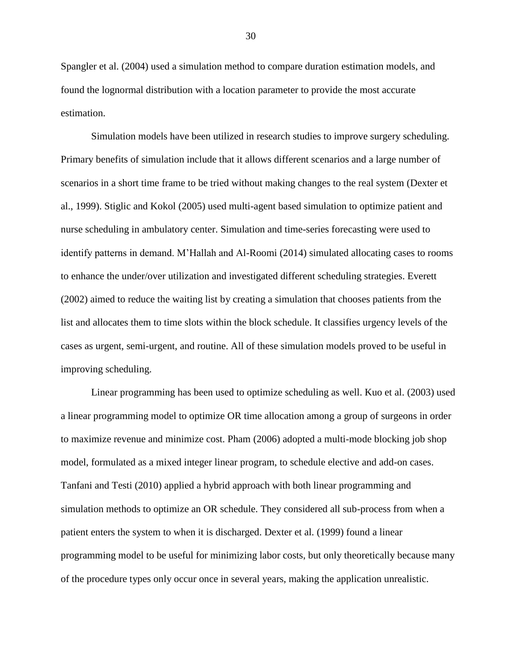Spangler et al. (2004) used a simulation method to compare duration estimation models, and found the lognormal distribution with a location parameter to provide the most accurate estimation.

Simulation models have been utilized in research studies to improve surgery scheduling. Primary benefits of simulation include that it allows different scenarios and a large number of scenarios in a short time frame to be tried without making changes to the real system (Dexter et al., 1999). Stiglic and Kokol (2005) used multi-agent based simulation to optimize patient and nurse scheduling in ambulatory center. Simulation and time-series forecasting were used to identify patterns in demand. M'Hallah and Al-Roomi (2014) simulated allocating cases to rooms to enhance the under/over utilization and investigated different scheduling strategies. Everett (2002) aimed to reduce the waiting list by creating a simulation that chooses patients from the list and allocates them to time slots within the block schedule. It classifies urgency levels of the cases as urgent, semi-urgent, and routine. All of these simulation models proved to be useful in improving scheduling.

Linear programming has been used to optimize scheduling as well. Kuo et al. (2003) used a linear programming model to optimize OR time allocation among a group of surgeons in order to maximize revenue and minimize cost. Pham (2006) adopted a multi-mode blocking job shop model, formulated as a mixed integer linear program, to schedule elective and add-on cases. Tanfani and Testi (2010) applied a hybrid approach with both linear programming and simulation methods to optimize an OR schedule. They considered all sub-process from when a patient enters the system to when it is discharged. Dexter et al. (1999) found a linear programming model to be useful for minimizing labor costs, but only theoretically because many of the procedure types only occur once in several years, making the application unrealistic.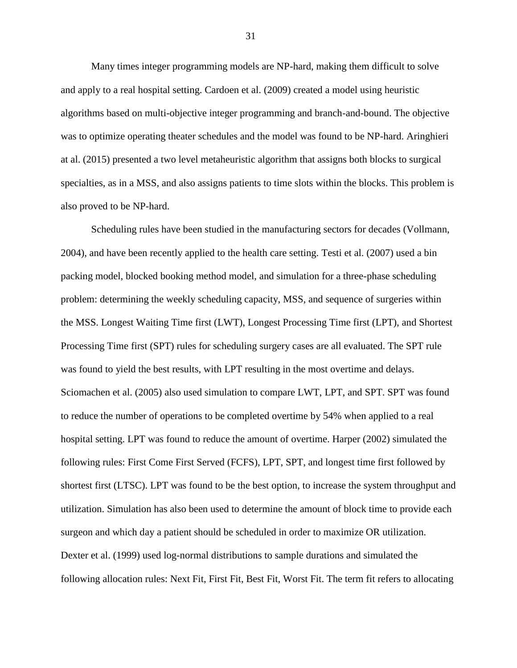Many times integer programming models are NP-hard, making them difficult to solve and apply to a real hospital setting. Cardoen et al. (2009) created a model using heuristic algorithms based on multi-objective integer programming and branch-and-bound. The objective was to optimize operating theater schedules and the model was found to be NP-hard. Aringhieri at al. (2015) presented a two level metaheuristic algorithm that assigns both blocks to surgical specialties, as in a MSS, and also assigns patients to time slots within the blocks. This problem is also proved to be NP-hard.

Scheduling rules have been studied in the manufacturing sectors for decades (Vollmann, 2004), and have been recently applied to the health care setting. Testi et al. (2007) used a bin packing model, blocked booking method model, and simulation for a three-phase scheduling problem: determining the weekly scheduling capacity, MSS, and sequence of surgeries within the MSS. Longest Waiting Time first (LWT), Longest Processing Time first (LPT), and Shortest Processing Time first (SPT) rules for scheduling surgery cases are all evaluated. The SPT rule was found to yield the best results, with LPT resulting in the most overtime and delays. Sciomachen et al. (2005) also used simulation to compare LWT, LPT, and SPT. SPT was found to reduce the number of operations to be completed overtime by 54% when applied to a real hospital setting. LPT was found to reduce the amount of overtime. Harper (2002) simulated the following rules: First Come First Served (FCFS), LPT, SPT, and longest time first followed by shortest first (LTSC). LPT was found to be the best option, to increase the system throughput and utilization. Simulation has also been used to determine the amount of block time to provide each surgeon and which day a patient should be scheduled in order to maximize OR utilization. Dexter et al. (1999) used log-normal distributions to sample durations and simulated the following allocation rules: Next Fit, First Fit, Best Fit, Worst Fit. The term fit refers to allocating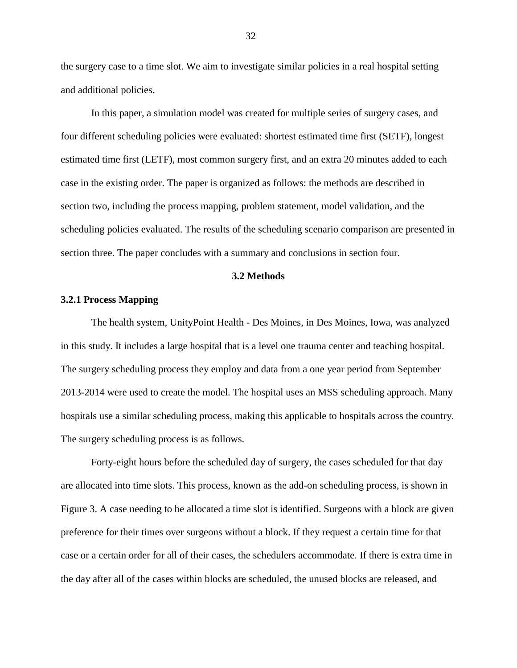the surgery case to a time slot. We aim to investigate similar policies in a real hospital setting and additional policies.

In this paper, a simulation model was created for multiple series of surgery cases, and four different scheduling policies were evaluated: shortest estimated time first (SETF), longest estimated time first (LETF), most common surgery first, and an extra 20 minutes added to each case in the existing order. The paper is organized as follows: the methods are described in section two, including the process mapping, problem statement, model validation, and the scheduling policies evaluated. The results of the scheduling scenario comparison are presented in section three. The paper concludes with a summary and conclusions in section four.

#### **3.2 Methods**

#### <span id="page-39-1"></span><span id="page-39-0"></span>**3.2.1 Process Mapping**

The health system, UnityPoint Health - Des Moines, in Des Moines, Iowa, was analyzed in this study. It includes a large hospital that is a level one trauma center and teaching hospital. The surgery scheduling process they employ and data from a one year period from September 2013-2014 were used to create the model. The hospital uses an MSS scheduling approach. Many hospitals use a similar scheduling process, making this applicable to hospitals across the country. The surgery scheduling process is as follows.

Forty-eight hours before the scheduled day of surgery, the cases scheduled for that day are allocated into time slots. This process, known as the add-on scheduling process, is shown in [Figure 3.](#page-40-0) A case needing to be allocated a time slot is identified. Surgeons with a block are given preference for their times over surgeons without a block. If they request a certain time for that case or a certain order for all of their cases, the schedulers accommodate. If there is extra time in the day after all of the cases within blocks are scheduled, the unused blocks are released, and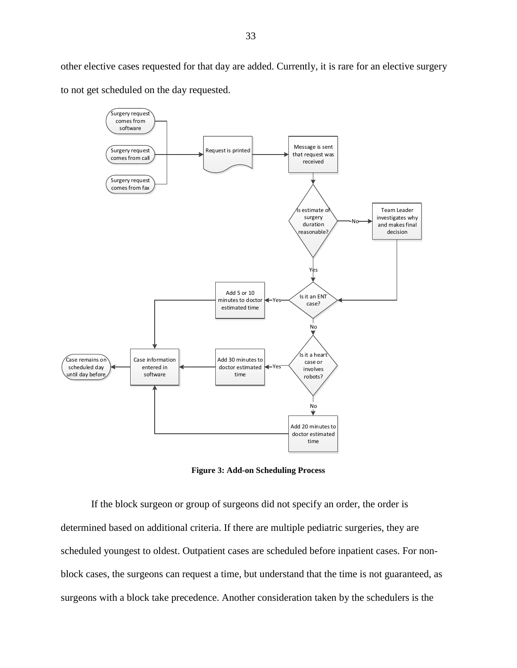33

other elective cases requested for that day are added. Currently, it is rare for an elective surgery to not get scheduled on the day requested.



**Figure 3: Add-on Scheduling Process**

<span id="page-40-0"></span>If the block surgeon or group of surgeons did not specify an order, the order is determined based on additional criteria. If there are multiple pediatric surgeries, they are scheduled youngest to oldest. Outpatient cases are scheduled before inpatient cases. For nonblock cases, the surgeons can request a time, but understand that the time is not guaranteed, as surgeons with a block take precedence. Another consideration taken by the schedulers is the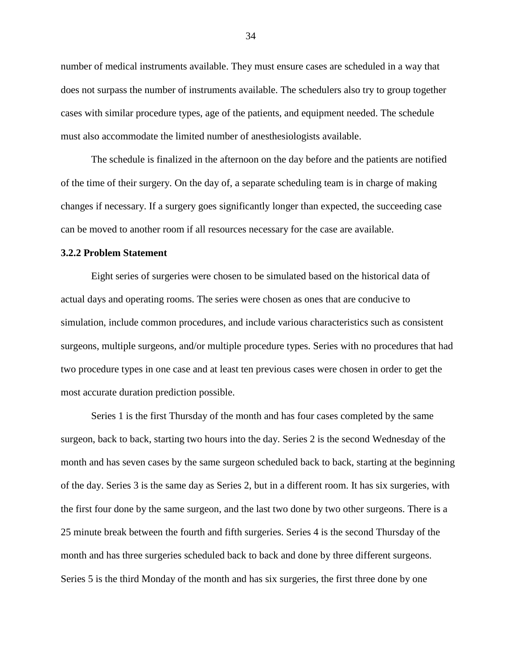number of medical instruments available. They must ensure cases are scheduled in a way that does not surpass the number of instruments available. The schedulers also try to group together cases with similar procedure types, age of the patients, and equipment needed. The schedule must also accommodate the limited number of anesthesiologists available.

The schedule is finalized in the afternoon on the day before and the patients are notified of the time of their surgery. On the day of, a separate scheduling team is in charge of making changes if necessary. If a surgery goes significantly longer than expected, the succeeding case can be moved to another room if all resources necessary for the case are available.

#### <span id="page-41-0"></span>**3.2.2 Problem Statement**

Eight series of surgeries were chosen to be simulated based on the historical data of actual days and operating rooms. The series were chosen as ones that are conducive to simulation, include common procedures, and include various characteristics such as consistent surgeons, multiple surgeons, and/or multiple procedure types. Series with no procedures that had two procedure types in one case and at least ten previous cases were chosen in order to get the most accurate duration prediction possible.

Series 1 is the first Thursday of the month and has four cases completed by the same surgeon, back to back, starting two hours into the day. Series 2 is the second Wednesday of the month and has seven cases by the same surgeon scheduled back to back, starting at the beginning of the day. Series 3 is the same day as Series 2, but in a different room. It has six surgeries, with the first four done by the same surgeon, and the last two done by two other surgeons. There is a 25 minute break between the fourth and fifth surgeries. Series 4 is the second Thursday of the month and has three surgeries scheduled back to back and done by three different surgeons. Series 5 is the third Monday of the month and has six surgeries, the first three done by one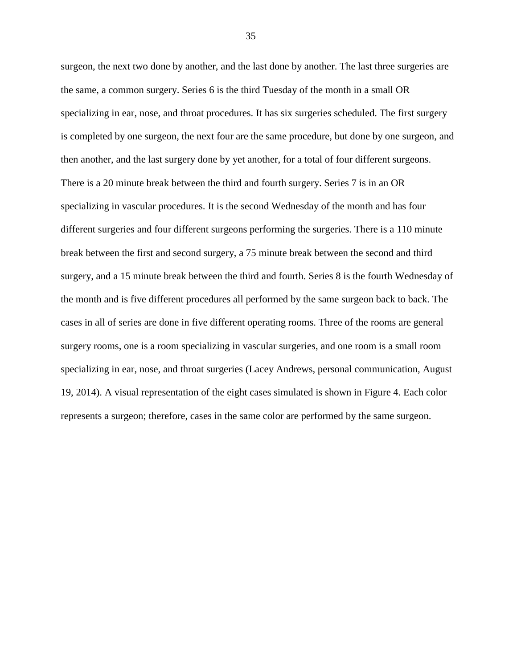surgeon, the next two done by another, and the last done by another. The last three surgeries are the same, a common surgery. Series 6 is the third Tuesday of the month in a small OR specializing in ear, nose, and throat procedures. It has six surgeries scheduled. The first surgery is completed by one surgeon, the next four are the same procedure, but done by one surgeon, and then another, and the last surgery done by yet another, for a total of four different surgeons. There is a 20 minute break between the third and fourth surgery. Series 7 is in an OR specializing in vascular procedures. It is the second Wednesday of the month and has four different surgeries and four different surgeons performing the surgeries. There is a 110 minute break between the first and second surgery, a 75 minute break between the second and third surgery, and a 15 minute break between the third and fourth. Series 8 is the fourth Wednesday of the month and is five different procedures all performed by the same surgeon back to back. The cases in all of series are done in five different operating rooms. Three of the rooms are general surgery rooms, one is a room specializing in vascular surgeries, and one room is a small room specializing in ear, nose, and throat surgeries (Lacey Andrews, personal communication, August 19, 2014). A visual representation of the eight cases simulated is shown in [Figure 4.](#page-43-1) Each color represents a surgeon; therefore, cases in the same color are performed by the same surgeon.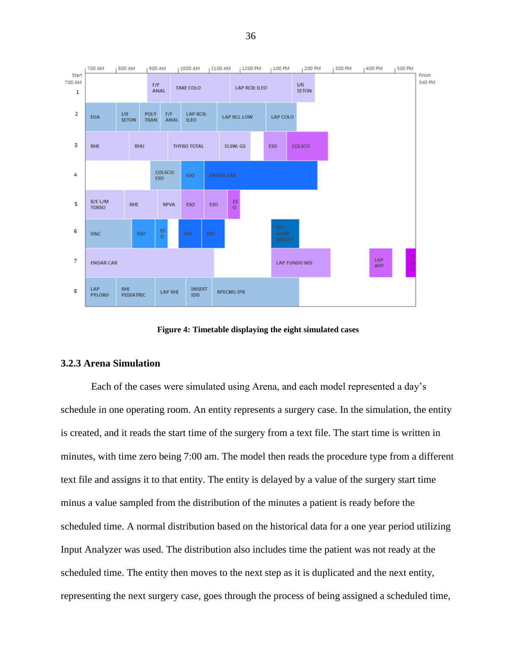

**Figure 4: Timetable displaying the eight simulated cases**

#### <span id="page-43-1"></span><span id="page-43-0"></span>**3.2.3 Arena Simulation**

Each of the cases were simulated using Arena, and each model represented a day's schedule in one operating room. An entity represents a surgery case. In the simulation, the entity is created, and it reads the start time of the surgery from a text file. The start time is written in minutes, with time zero being 7:00 am. The model then reads the procedure type from a different text file and assigns it to that entity. The entity is delayed by a value of the surgery start time minus a value sampled from the distribution of the minutes a patient is ready before the scheduled time. A normal distribution based on the historical data for a one year period utilizing Input Analyzer was used. The distribution also includes time the patient was not ready at the scheduled time. The entity then moves to the next step as it is duplicated and the next entity, representing the next surgery case, goes through the process of being assigned a scheduled time,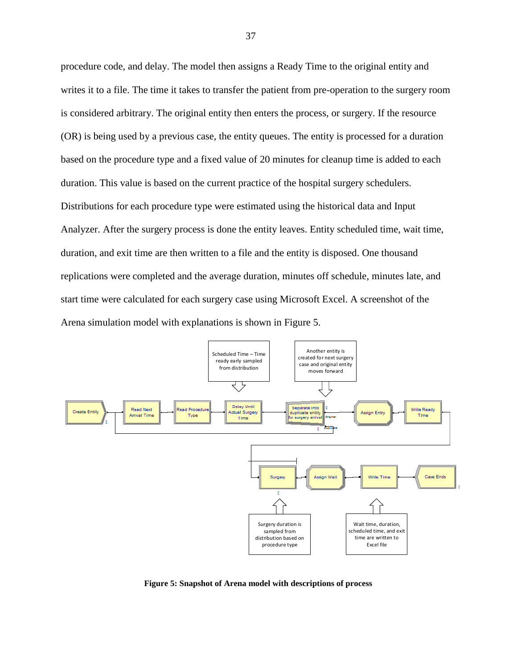procedure code, and delay. The model then assigns a Ready Time to the original entity and writes it to a file. The time it takes to transfer the patient from pre-operation to the surgery room is considered arbitrary. The original entity then enters the process, or surgery. If the resource (OR) is being used by a previous case, the entity queues. The entity is processed for a duration based on the procedure type and a fixed value of 20 minutes for cleanup time is added to each duration. This value is based on the current practice of the hospital surgery schedulers. Distributions for each procedure type were estimated using the historical data and Input Analyzer. After the surgery process is done the entity leaves. Entity scheduled time, wait time, duration, and exit time are then written to a file and the entity is disposed. One thousand replications were completed and the average duration, minutes off schedule, minutes late, and start time were calculated for each surgery case using Microsoft Excel. A screenshot of the Arena simulation model with explanations is shown in [Figure 5.](#page-44-0)



<span id="page-44-0"></span>**Figure 5: Snapshot of Arena model with descriptions of process**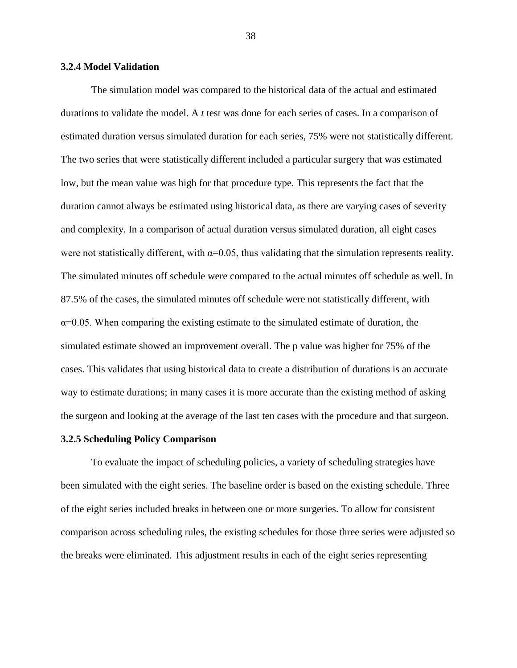#### <span id="page-45-0"></span>**3.2.4 Model Validation**

The simulation model was compared to the historical data of the actual and estimated durations to validate the model. A *t* test was done for each series of cases. In a comparison of estimated duration versus simulated duration for each series, 75% were not statistically different. The two series that were statistically different included a particular surgery that was estimated low, but the mean value was high for that procedure type. This represents the fact that the duration cannot always be estimated using historical data, as there are varying cases of severity and complexity. In a comparison of actual duration versus simulated duration, all eight cases were not statistically different, with  $\alpha$ =0.05, thus validating that the simulation represents reality. The simulated minutes off schedule were compared to the actual minutes off schedule as well. In 87.5% of the cases, the simulated minutes off schedule were not statistically different, with  $\alpha$ =0.05. When comparing the existing estimate to the simulated estimate of duration, the simulated estimate showed an improvement overall. The p value was higher for 75% of the cases. This validates that using historical data to create a distribution of durations is an accurate way to estimate durations; in many cases it is more accurate than the existing method of asking the surgeon and looking at the average of the last ten cases with the procedure and that surgeon.

#### <span id="page-45-1"></span>**3.2.5 Scheduling Policy Comparison**

To evaluate the impact of scheduling policies, a variety of scheduling strategies have been simulated with the eight series. The baseline order is based on the existing schedule. Three of the eight series included breaks in between one or more surgeries. To allow for consistent comparison across scheduling rules, the existing schedules for those three series were adjusted so the breaks were eliminated. This adjustment results in each of the eight series representing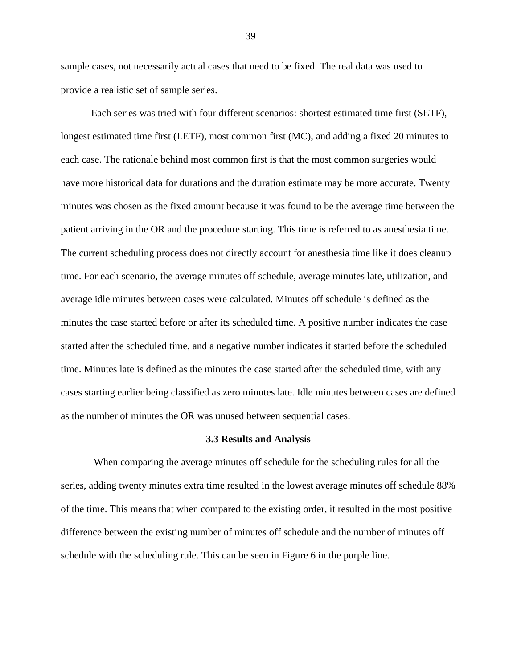sample cases, not necessarily actual cases that need to be fixed. The real data was used to provide a realistic set of sample series.

Each series was tried with four different scenarios: shortest estimated time first (SETF), longest estimated time first (LETF), most common first (MC), and adding a fixed 20 minutes to each case. The rationale behind most common first is that the most common surgeries would have more historical data for durations and the duration estimate may be more accurate. Twenty minutes was chosen as the fixed amount because it was found to be the average time between the patient arriving in the OR and the procedure starting. This time is referred to as anesthesia time. The current scheduling process does not directly account for anesthesia time like it does cleanup time. For each scenario, the average minutes off schedule, average minutes late, utilization, and average idle minutes between cases were calculated. Minutes off schedule is defined as the minutes the case started before or after its scheduled time. A positive number indicates the case started after the scheduled time, and a negative number indicates it started before the scheduled time. Minutes late is defined as the minutes the case started after the scheduled time, with any cases starting earlier being classified as zero minutes late. Idle minutes between cases are defined as the number of minutes the OR was unused between sequential cases.

#### **3.3 Results and Analysis**

<span id="page-46-0"></span>When comparing the average minutes off schedule for the scheduling rules for all the series, adding twenty minutes extra time resulted in the lowest average minutes off schedule 88% of the time. This means that when compared to the existing order, it resulted in the most positive difference between the existing number of minutes off schedule and the number of minutes off schedule with the scheduling rule. This can be seen in [Figure 6](#page-47-0) in the purple line.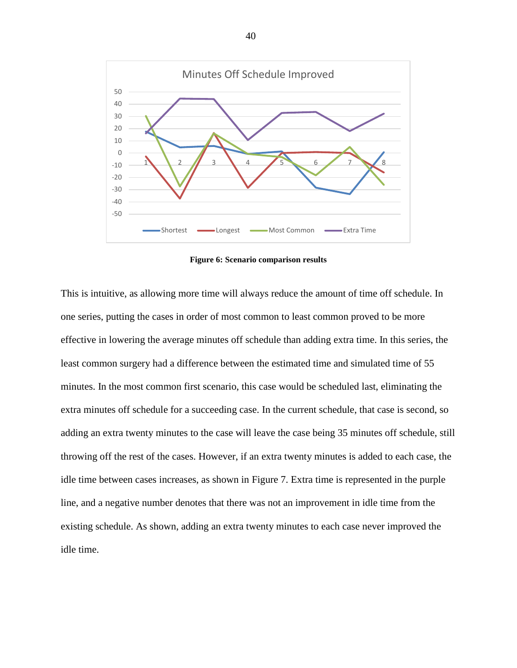

**Figure 6: Scenario comparison results**

<span id="page-47-0"></span>This is intuitive, as allowing more time will always reduce the amount of time off schedule. In one series, putting the cases in order of most common to least common proved to be more effective in lowering the average minutes off schedule than adding extra time. In this series, the least common surgery had a difference between the estimated time and simulated time of 55 minutes. In the most common first scenario, this case would be scheduled last, eliminating the extra minutes off schedule for a succeeding case. In the current schedule, that case is second, so adding an extra twenty minutes to the case will leave the case being 35 minutes off schedule, still throwing off the rest of the cases. However, if an extra twenty minutes is added to each case, the idle time between cases increases, as shown in [Figure 7.](#page-48-0) Extra time is represented in the purple line, and a negative number denotes that there was not an improvement in idle time from the existing schedule. As shown, adding an extra twenty minutes to each case never improved the idle time.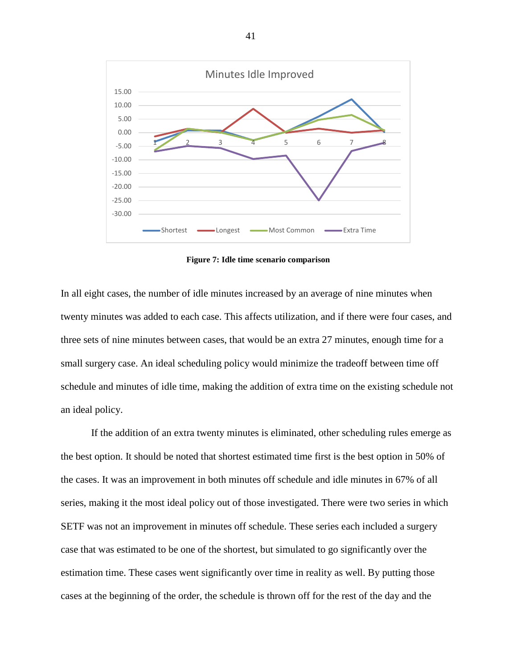

**Figure 7: Idle time scenario comparison**

<span id="page-48-0"></span>In all eight cases, the number of idle minutes increased by an average of nine minutes when twenty minutes was added to each case. This affects utilization, and if there were four cases, and three sets of nine minutes between cases, that would be an extra 27 minutes, enough time for a small surgery case. An ideal scheduling policy would minimize the tradeoff between time off schedule and minutes of idle time, making the addition of extra time on the existing schedule not an ideal policy.

If the addition of an extra twenty minutes is eliminated, other scheduling rules emerge as the best option. It should be noted that shortest estimated time first is the best option in 50% of the cases. It was an improvement in both minutes off schedule and idle minutes in 67% of all series, making it the most ideal policy out of those investigated. There were two series in which SETF was not an improvement in minutes off schedule. These series each included a surgery case that was estimated to be one of the shortest, but simulated to go significantly over the estimation time. These cases went significantly over time in reality as well. By putting those cases at the beginning of the order, the schedule is thrown off for the rest of the day and the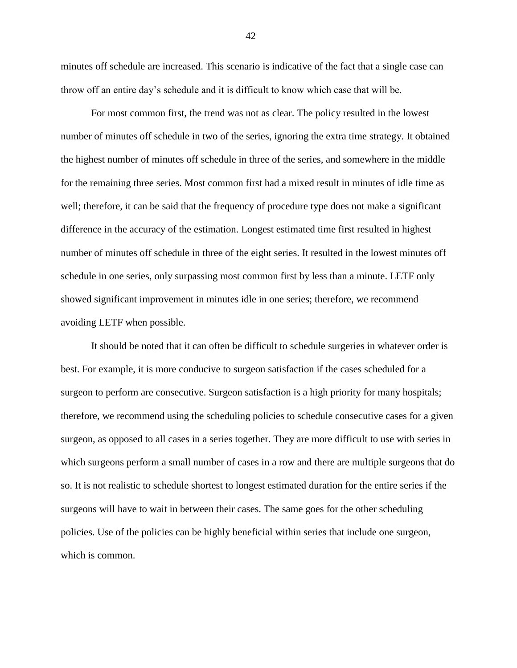minutes off schedule are increased. This scenario is indicative of the fact that a single case can throw off an entire day's schedule and it is difficult to know which case that will be.

For most common first, the trend was not as clear. The policy resulted in the lowest number of minutes off schedule in two of the series, ignoring the extra time strategy. It obtained the highest number of minutes off schedule in three of the series, and somewhere in the middle for the remaining three series. Most common first had a mixed result in minutes of idle time as well; therefore, it can be said that the frequency of procedure type does not make a significant difference in the accuracy of the estimation. Longest estimated time first resulted in highest number of minutes off schedule in three of the eight series. It resulted in the lowest minutes off schedule in one series, only surpassing most common first by less than a minute. LETF only showed significant improvement in minutes idle in one series; therefore, we recommend avoiding LETF when possible.

It should be noted that it can often be difficult to schedule surgeries in whatever order is best. For example, it is more conducive to surgeon satisfaction if the cases scheduled for a surgeon to perform are consecutive. Surgeon satisfaction is a high priority for many hospitals; therefore, we recommend using the scheduling policies to schedule consecutive cases for a given surgeon, as opposed to all cases in a series together. They are more difficult to use with series in which surgeons perform a small number of cases in a row and there are multiple surgeons that do so. It is not realistic to schedule shortest to longest estimated duration for the entire series if the surgeons will have to wait in between their cases. The same goes for the other scheduling policies. Use of the policies can be highly beneficial within series that include one surgeon, which is common.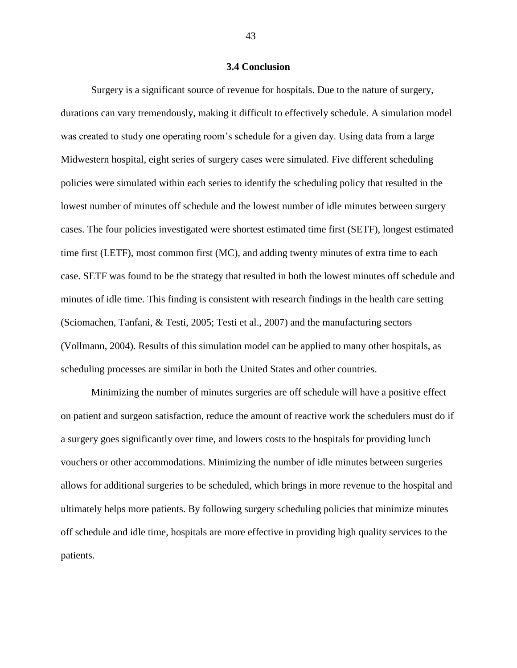#### **3.4 Conclusion**

<span id="page-50-0"></span>Surgery is a significant source of revenue for hospitals. Due to the nature of surgery, durations can vary tremendously, making it difficult to effectively schedule. A simulation model was created to study one operating room's schedule for a given day. Using data from a large Midwestern hospital, eight series of surgery cases were simulated. Five different scheduling policies were simulated within each series to identify the scheduling policy that resulted in the lowest number of minutes off schedule and the lowest number of idle minutes between surgery cases. The four policies investigated were shortest estimated time first (SETF), longest estimated time first (LETF), most common first (MC), and adding twenty minutes of extra time to each case. SETF was found to be the strategy that resulted in both the lowest minutes off schedule and minutes of idle time. This finding is consistent with research findings in the health care setting (Sciomachen, Tanfani, & Testi, 2005; Testi et al., 2007) and the manufacturing sectors (Vollmann, 2004). Results of this simulation model can be applied to many other hospitals, as scheduling processes are similar in both the United States and other countries.

Minimizing the number of minutes surgeries are off schedule will have a positive effect on patient and surgeon satisfaction, reduce the amount of reactive work the schedulers must do if a surgery goes significantly over time, and lowers costs to the hospitals for providing lunch vouchers or other accommodations. Minimizing the number of idle minutes between surgeries allows for additional surgeries to be scheduled, which brings in more revenue to the hospital and ultimately helps more patients. By following surgery scheduling policies that minimize minutes off schedule and idle time, hospitals are more effective in providing high quality services to the patients.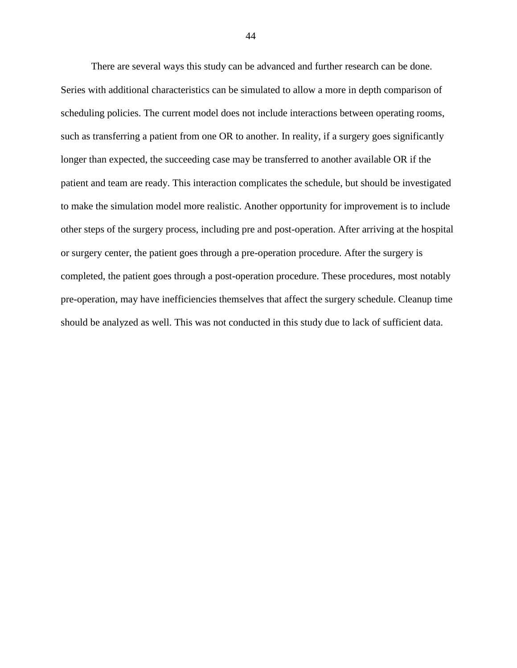There are several ways this study can be advanced and further research can be done. Series with additional characteristics can be simulated to allow a more in depth comparison of scheduling policies. The current model does not include interactions between operating rooms, such as transferring a patient from one OR to another. In reality, if a surgery goes significantly longer than expected, the succeeding case may be transferred to another available OR if the patient and team are ready. This interaction complicates the schedule, but should be investigated to make the simulation model more realistic. Another opportunity for improvement is to include other steps of the surgery process, including pre and post-operation. After arriving at the hospital or surgery center, the patient goes through a pre-operation procedure. After the surgery is completed, the patient goes through a post-operation procedure. These procedures, most notably pre-operation, may have inefficiencies themselves that affect the surgery schedule. Cleanup time should be analyzed as well. This was not conducted in this study due to lack of sufficient data.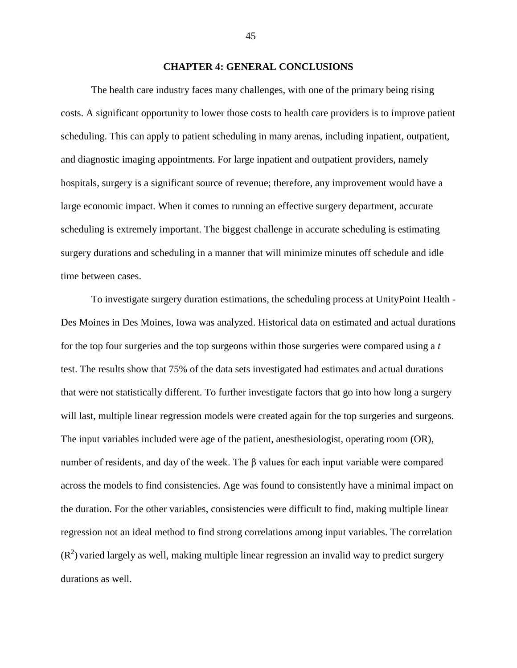#### **CHAPTER 4: GENERAL CONCLUSIONS**

<span id="page-52-0"></span>The health care industry faces many challenges, with one of the primary being rising costs. A significant opportunity to lower those costs to health care providers is to improve patient scheduling. This can apply to patient scheduling in many arenas, including inpatient, outpatient, and diagnostic imaging appointments. For large inpatient and outpatient providers, namely hospitals, surgery is a significant source of revenue; therefore, any improvement would have a large economic impact. When it comes to running an effective surgery department, accurate scheduling is extremely important. The biggest challenge in accurate scheduling is estimating surgery durations and scheduling in a manner that will minimize minutes off schedule and idle time between cases.

To investigate surgery duration estimations, the scheduling process at UnityPoint Health - Des Moines in Des Moines, Iowa was analyzed. Historical data on estimated and actual durations for the top four surgeries and the top surgeons within those surgeries were compared using a *t*  test. The results show that 75% of the data sets investigated had estimates and actual durations that were not statistically different. To further investigate factors that go into how long a surgery will last, multiple linear regression models were created again for the top surgeries and surgeons. The input variables included were age of the patient, anesthesiologist, operating room (OR), number of residents, and day of the week. The  $\beta$  values for each input variable were compared across the models to find consistencies. Age was found to consistently have a minimal impact on the duration. For the other variables, consistencies were difficult to find, making multiple linear regression not an ideal method to find strong correlations among input variables. The correlation  $(R<sup>2</sup>)$  varied largely as well, making multiple linear regression an invalid way to predict surgery durations as well.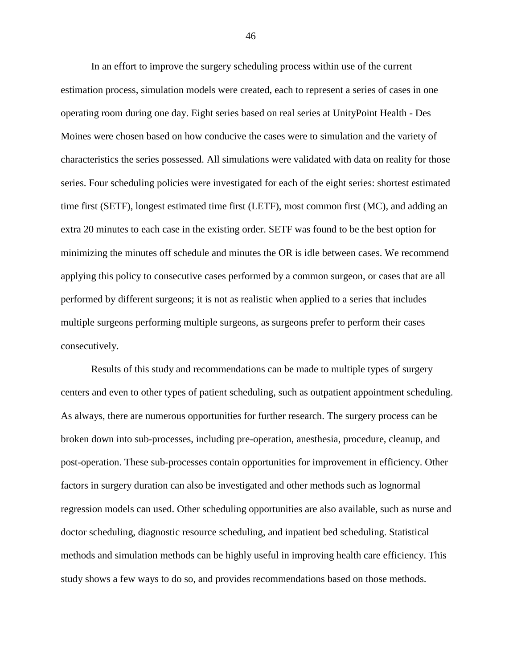In an effort to improve the surgery scheduling process within use of the current estimation process, simulation models were created, each to represent a series of cases in one operating room during one day. Eight series based on real series at UnityPoint Health - Des Moines were chosen based on how conducive the cases were to simulation and the variety of characteristics the series possessed. All simulations were validated with data on reality for those series. Four scheduling policies were investigated for each of the eight series: shortest estimated time first (SETF), longest estimated time first (LETF), most common first (MC), and adding an extra 20 minutes to each case in the existing order. SETF was found to be the best option for minimizing the minutes off schedule and minutes the OR is idle between cases. We recommend applying this policy to consecutive cases performed by a common surgeon, or cases that are all performed by different surgeons; it is not as realistic when applied to a series that includes multiple surgeons performing multiple surgeons, as surgeons prefer to perform their cases consecutively.

Results of this study and recommendations can be made to multiple types of surgery centers and even to other types of patient scheduling, such as outpatient appointment scheduling. As always, there are numerous opportunities for further research. The surgery process can be broken down into sub-processes, including pre-operation, anesthesia, procedure, cleanup, and post-operation. These sub-processes contain opportunities for improvement in efficiency. Other factors in surgery duration can also be investigated and other methods such as lognormal regression models can used. Other scheduling opportunities are also available, such as nurse and doctor scheduling, diagnostic resource scheduling, and inpatient bed scheduling. Statistical methods and simulation methods can be highly useful in improving health care efficiency. This study shows a few ways to do so, and provides recommendations based on those methods.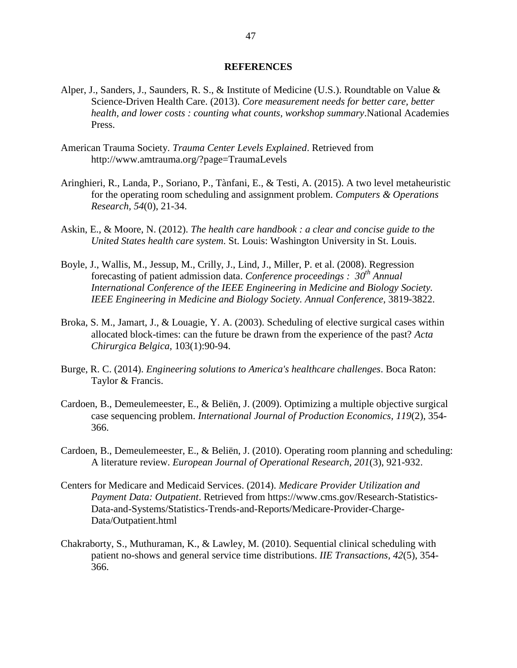#### **REFERENCES**

- <span id="page-54-0"></span>Alper, J., Sanders, J., Saunders, R. S., & Institute of Medicine (U.S.). Roundtable on Value & Science-Driven Health Care. (2013). *Core measurement needs for better care, better health, and lower costs : counting what counts, workshop summary*.National Academies Press.
- American Trauma Society. *Trauma Center Levels Explained*. Retrieved from http://www.amtrauma.org/?page=TraumaLevels
- Aringhieri, R., Landa, P., Soriano, P., Tànfani, E., & Testi, A. (2015). A two level metaheuristic for the operating room scheduling and assignment problem. *Computers & Operations Research, 54*(0), 21-34.
- Askin, E., & Moore, N. (2012). *The health care handbook : a clear and concise guide to the United States health care system*. St. Louis: Washington University in St. Louis.
- Boyle, J., Wallis, M., Jessup, M., Crilly, J., Lind, J., Miller, P. et al. (2008). Regression forecasting of patient admission data. *Conference proceedings : 30th Annual International Conference of the IEEE Engineering in Medicine and Biology Society. IEEE Engineering in Medicine and Biology Society. Annual Conference,* 3819-3822.
- Broka, S. M., Jamart, J., & Louagie, Y. A. (2003). Scheduling of elective surgical cases within allocated block-times: can the future be drawn from the experience of the past? *Acta Chirurgica Belgica,* 103(1):90-94.
- Burge, R. C. (2014). *Engineering solutions to America's healthcare challenges*. Boca Raton: Taylor & Francis.
- Cardoen, B., Demeulemeester, E., & Beliën, J. (2009). Optimizing a multiple objective surgical case sequencing problem. *International Journal of Production Economics, 119*(2), 354- 366.
- Cardoen, B., Demeulemeester, E., & Beliën, J. (2010). Operating room planning and scheduling: A literature review. *European Journal of Operational Research, 201*(3), 921-932.
- Centers for Medicare and Medicaid Services. (2014). *Medicare Provider Utilization and Payment Data: Outpatient*. Retrieved from https://www.cms.gov/Research-Statistics-Data-and-Systems/Statistics-Trends-and-Reports/Medicare-Provider-Charge-Data/Outpatient.html
- Chakraborty, S., Muthuraman, K., & Lawley, M. (2010). Sequential clinical scheduling with patient no-shows and general service time distributions. *IIE Transactions, 42*(5), 354- 366.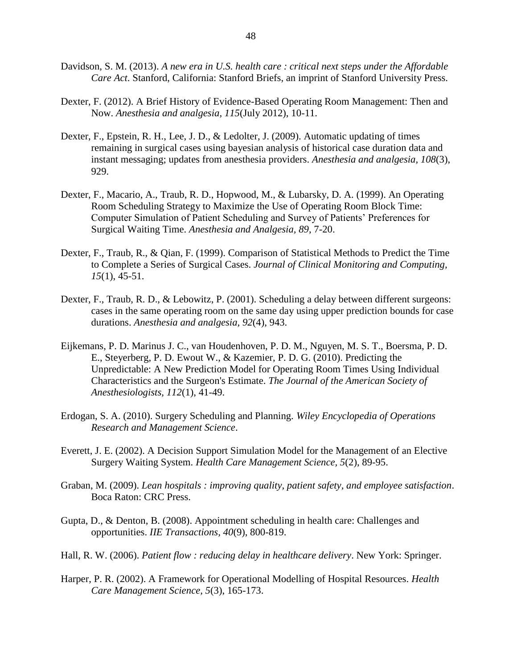- Davidson, S. M. (2013). *A new era in U.S. health care : critical next steps under the Affordable Care Act*. Stanford, California: Stanford Briefs, an imprint of Stanford University Press.
- Dexter, F. (2012). A Brief History of Evidence-Based Operating Room Management: Then and Now. *Anesthesia and analgesia, 115*(July 2012), 10-11.
- Dexter, F., Epstein, R. H., Lee, J. D., & Ledolter, J. (2009). Automatic updating of times remaining in surgical cases using bayesian analysis of historical case duration data and instant messaging; updates from anesthesia providers. *Anesthesia and analgesia, 108*(3), 929.
- Dexter, F., Macario, A., Traub, R. D., Hopwood, M., & Lubarsky, D. A. (1999). An Operating Room Scheduling Strategy to Maximize the Use of Operating Room Block Time: Computer Simulation of Patient Scheduling and Survey of Patients' Preferences for Surgical Waiting Time. *Anesthesia and Analgesia, 89*, 7-20.
- Dexter, F., Traub, R., & Qian, F. (1999). Comparison of Statistical Methods to Predict the Time to Complete a Series of Surgical Cases. *Journal of Clinical Monitoring and Computing, 15*(1), 45-51.
- Dexter, F., Traub, R. D., & Lebowitz, P. (2001). Scheduling a delay between different surgeons: cases in the same operating room on the same day using upper prediction bounds for case durations. *Anesthesia and analgesia, 92*(4), 943.
- Eijkemans, P. D. Marinus J. C., van Houdenhoven, P. D. M., Nguyen, M. S. T., Boersma, P. D. E., Steyerberg, P. D. Ewout W., & Kazemier, P. D. G. (2010). Predicting the Unpredictable: A New Prediction Model for Operating Room Times Using Individual Characteristics and the Surgeon's Estimate. *The Journal of the American Society of Anesthesiologists, 112*(1), 41-49.
- Erdogan, S. A. (2010). Surgery Scheduling and Planning. *Wiley Encyclopedia of Operations Research and Management Science*.
- Everett, J. E. (2002). A Decision Support Simulation Model for the Management of an Elective Surgery Waiting System. *Health Care Management Science, 5*(2), 89-95.
- Graban, M. (2009). *Lean hospitals : improving quality, patient safety, and employee satisfaction*. Boca Raton: CRC Press.
- Gupta, D., & Denton, B. (2008). Appointment scheduling in health care: Challenges and opportunities. *IIE Transactions, 40*(9), 800-819.
- Hall, R. W. (2006). *Patient flow : reducing delay in healthcare delivery*. New York: Springer.
- Harper, P. R. (2002). A Framework for Operational Modelling of Hospital Resources. *Health Care Management Science, 5*(3), 165-173.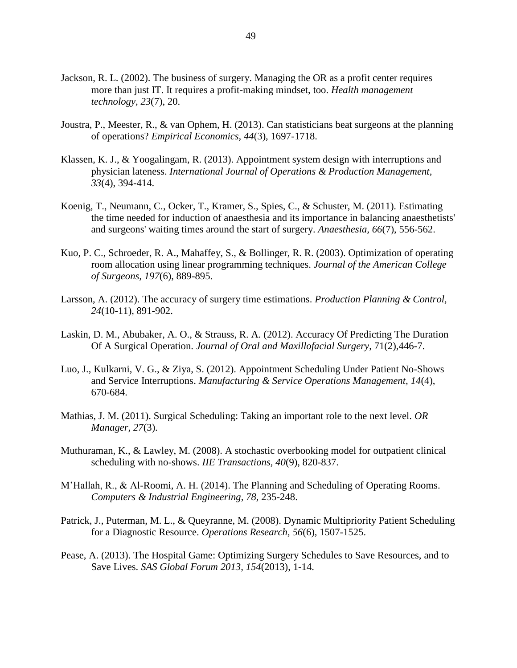- Jackson, R. L. (2002). The business of surgery. Managing the OR as a profit center requires more than just IT. It requires a profit-making mindset, too. *Health management technology, 23*(7), 20.
- Joustra, P., Meester, R., & van Ophem, H. (2013). Can statisticians beat surgeons at the planning of operations? *Empirical Economics, 44*(3), 1697-1718.
- Klassen, K. J., & Yoogalingam, R. (2013). Appointment system design with interruptions and physician lateness. *International Journal of Operations & Production Management, 33*(4), 394-414.
- Koenig, T., Neumann, C., Ocker, T., Kramer, S., Spies, C., & Schuster, M. (2011). Estimating the time needed for induction of anaesthesia and its importance in balancing anaesthetists' and surgeons' waiting times around the start of surgery. *Anaesthesia, 66*(7), 556-562.
- Kuo, P. C., Schroeder, R. A., Mahaffey, S., & Bollinger, R. R. (2003). Optimization of operating room allocation using linear programming techniques. *Journal of the American College of Surgeons, 197*(6), 889-895.
- Larsson, A. (2012). The accuracy of surgery time estimations. *Production Planning & Control, 24*(10-11), 891-902.
- Laskin, D. M., Abubaker, A. O., & Strauss, R. A. (2012). Accuracy Of Predicting The Duration Of A Surgical Operation. *Journal of Oral and Maxillofacial Surgery*, 71(2),446-7.
- Luo, J., Kulkarni, V. G., & Ziya, S. (2012). Appointment Scheduling Under Patient No-Shows and Service Interruptions. *Manufacturing & Service Operations Management, 14*(4), 670-684.
- Mathias, J. M. (2011). Surgical Scheduling: Taking an important role to the next level. *OR Manager, 27*(3).
- Muthuraman, K., & Lawley, M. (2008). A stochastic overbooking model for outpatient clinical scheduling with no-shows. *IIE Transactions, 40*(9), 820-837.
- M'Hallah, R., & Al-Roomi, A. H. (2014). The Planning and Scheduling of Operating Rooms. *Computers & Industrial Engineering, 78,* 235-248.
- Patrick, J., Puterman, M. L., & Queyranne, M. (2008). Dynamic Multipriority Patient Scheduling for a Diagnostic Resource. *Operations Research, 56*(6), 1507-1525.
- Pease, A. (2013). The Hospital Game: Optimizing Surgery Schedules to Save Resources, and to Save Lives. *SAS Global Forum 2013, 154*(2013), 1-14.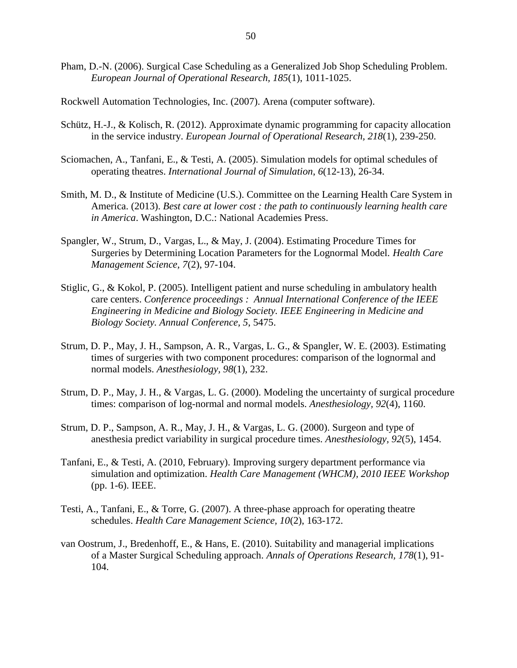- Pham, D.-N. (2006). Surgical Case Scheduling as a Generalized Job Shop Scheduling Problem. *European Journal of Operational Research, 185*(1), 1011-1025.
- Rockwell Automation Technologies, Inc. (2007). Arena (computer software).
- Schütz, H.-J., & Kolisch, R. (2012). Approximate dynamic programming for capacity allocation in the service industry. *European Journal of Operational Research, 218*(1), 239-250.
- Sciomachen, A., Tanfani, E., & Testi, A. (2005). Simulation models for optimal schedules of operating theatres. *International Journal of Simulation*, *6*(12-13), 26-34.
- Smith, M. D., & Institute of Medicine (U.S.). Committee on the Learning Health Care System in America. (2013). *Best care at lower cost : the path to continuously learning health care in America*. Washington, D.C.: National Academies Press.
- Spangler, W., Strum, D., Vargas, L., & May, J. (2004). Estimating Procedure Times for Surgeries by Determining Location Parameters for the Lognormal Model. *Health Care Management Science, 7*(2), 97-104.
- Stiglic, G., & Kokol, P. (2005). Intelligent patient and nurse scheduling in ambulatory health care centers. *Conference proceedings : Annual International Conference of the IEEE Engineering in Medicine and Biology Society. IEEE Engineering in Medicine and Biology Society. Annual Conference, 5*, 5475.
- Strum, D. P., May, J. H., Sampson, A. R., Vargas, L. G., & Spangler, W. E. (2003). Estimating times of surgeries with two component procedures: comparison of the lognormal and normal models. *Anesthesiology, 98*(1), 232.
- Strum, D. P., May, J. H., & Vargas, L. G. (2000). Modeling the uncertainty of surgical procedure times: comparison of log-normal and normal models. *Anesthesiology, 92*(4), 1160.
- Strum, D. P., Sampson, A. R., May, J. H., & Vargas, L. G. (2000). Surgeon and type of anesthesia predict variability in surgical procedure times. *Anesthesiology, 92*(5), 1454.
- Tanfani, E., & Testi, A. (2010, February). Improving surgery department performance via simulation and optimization. *Health Care Management (WHCM), 2010 IEEE Workshop* (pp. 1-6). IEEE.
- Testi, A., Tanfani, E., & Torre, G. (2007). A three-phase approach for operating theatre schedules. *Health Care Management Science, 10*(2), 163-172.
- van Oostrum, J., Bredenhoff, E., & Hans, E. (2010). Suitability and managerial implications of a Master Surgical Scheduling approach. *Annals of Operations Research, 178*(1), 91- 104.